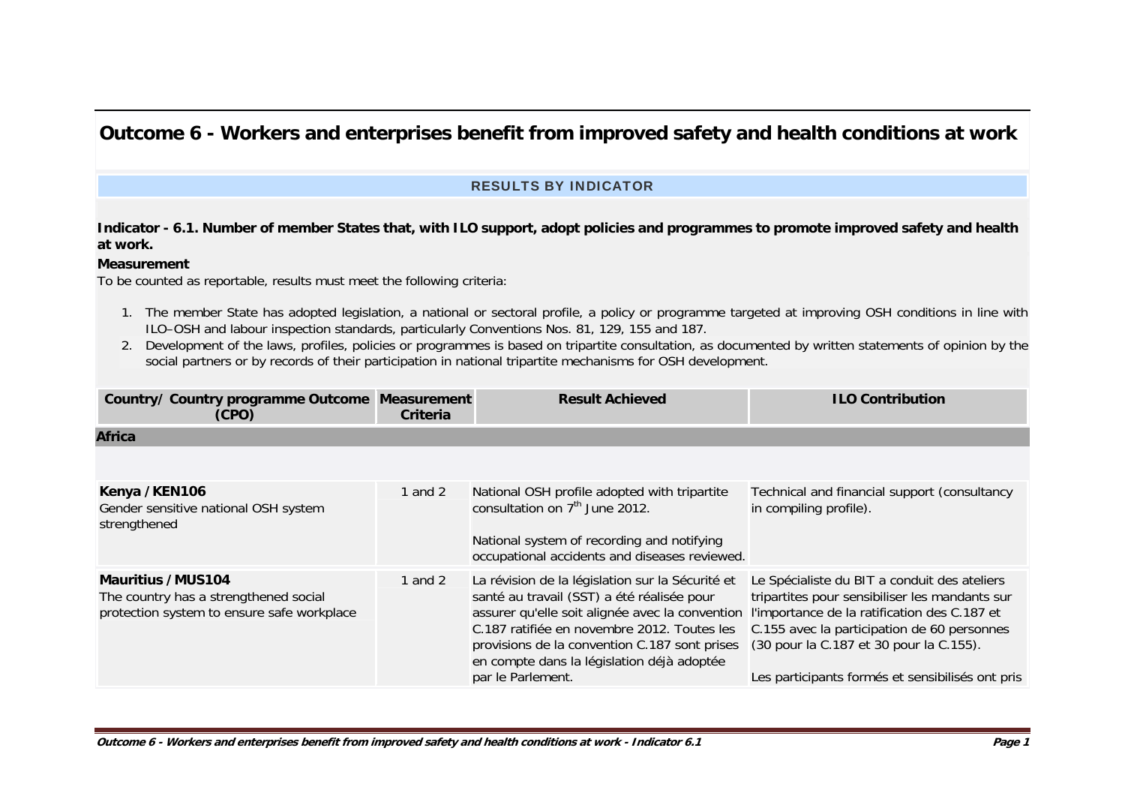# **Outcome 6 - Workers and enterprises benefit from improved safety and health conditions at work**

## RESULTS BY INDICATOR

## **Indicator - 6.1. Number of member States that, with ILO support, adopt policies and programmes to promote improved safety and health at work.**

### **Measurement**

To be counted as reportable, results must meet the following criteria:

- 1. The member State has adopted legislation, a national or sectoral profile, a policy or programme targeted at improving OSH conditions in line with ILO–OSH and labour inspection standards, particularly Conventions Nos. 81, 129, 155 and 187.
- 2. Development of the laws, profiles, policies or programmes is based on tripartite consultation, as documented by written statements of opinion by the social partners or by records of their participation in national tripartite mechanisms for OSH development.

| <b>Country/ Country programme Outcome</b><br>(CPO)                                                       | <b>Measurement</b><br>Criteria | <b>Result Achieved</b>                                                                                                                                                                                                                                                                                               | <b>ILO Contribution</b>                                                                                                                                                                                                                                                                      |
|----------------------------------------------------------------------------------------------------------|--------------------------------|----------------------------------------------------------------------------------------------------------------------------------------------------------------------------------------------------------------------------------------------------------------------------------------------------------------------|----------------------------------------------------------------------------------------------------------------------------------------------------------------------------------------------------------------------------------------------------------------------------------------------|
| <b>Africa</b>                                                                                            |                                |                                                                                                                                                                                                                                                                                                                      |                                                                                                                                                                                                                                                                                              |
|                                                                                                          |                                |                                                                                                                                                                                                                                                                                                                      |                                                                                                                                                                                                                                                                                              |
| Kenya /KEN106<br>Gender sensitive national OSH system<br>strengthened                                    | 1 and 2                        | National OSH profile adopted with tripartite<br>consultation on 7 <sup>th</sup> June 2012.<br>National system of recording and notifying<br>occupational accidents and diseases reviewed.                                                                                                                            | Technical and financial support (consultancy<br>in compiling profile).                                                                                                                                                                                                                       |
| Mauritius /MUS104<br>The country has a strengthened social<br>protection system to ensure safe workplace | 1 and 2                        | La révision de la législation sur la Sécurité et<br>santé au travail (SST) a été réalisée pour<br>assurer qu'elle soit alignée avec la convention<br>C.187 ratifiée en novembre 2012. Toutes les<br>provisions de la convention C.187 sont prises<br>en compte dans la législation déjà adoptée<br>par le Parlement. | Le Spécialiste du BIT a conduit des ateliers<br>tripartites pour sensibiliser les mandants sur<br>l'importance de la ratification des C.187 et<br>C.155 avec la participation de 60 personnes<br>(30 pour la C.187 et 30 pour la C.155).<br>Les participants formés et sensibilisés ont pris |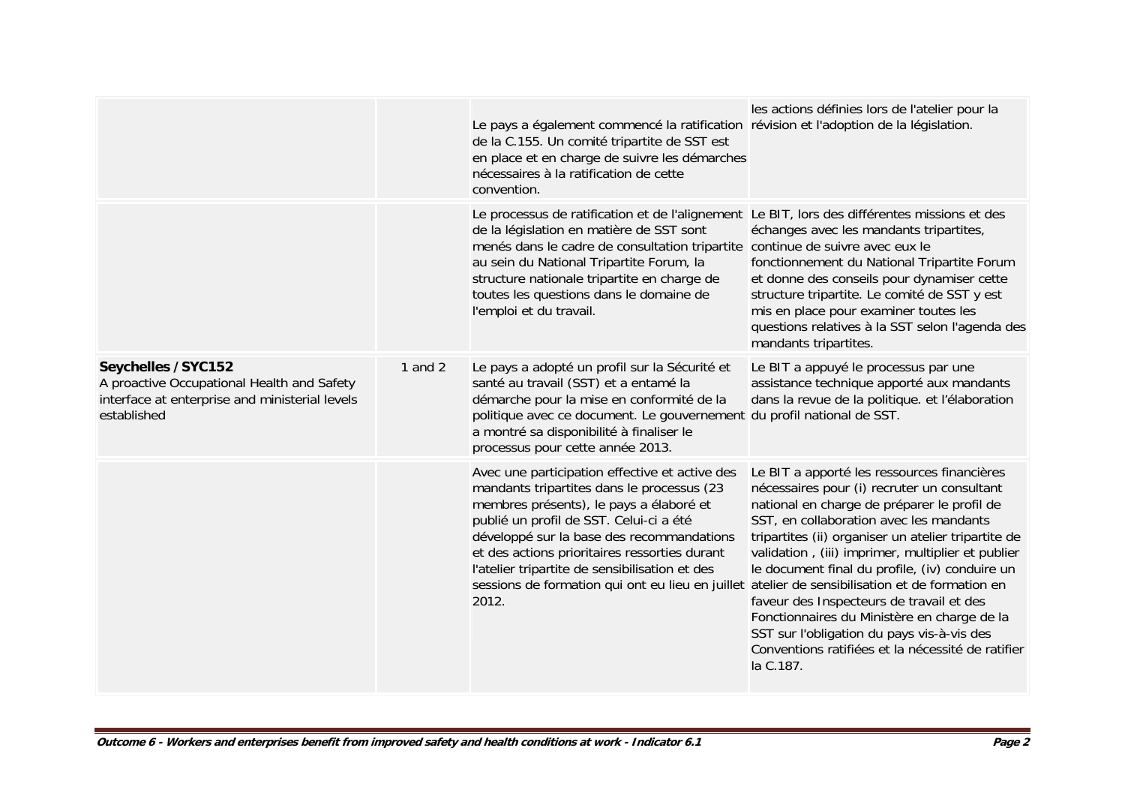|                                                                                                                                    |           | Le pays a également commencé la ratification révision et l'adoption de la législation.<br>de la C.155. Un comité tripartite de SST est<br>en place et en charge de suivre les démarches<br>nécessaires à la ratification de cette<br>convention.                                                                                                                                                                                              | les actions définies lors de l'atelier pour la                                                                                                                                                                                                                                                                                                                                                                                                                                                                                                                |
|------------------------------------------------------------------------------------------------------------------------------------|-----------|-----------------------------------------------------------------------------------------------------------------------------------------------------------------------------------------------------------------------------------------------------------------------------------------------------------------------------------------------------------------------------------------------------------------------------------------------|---------------------------------------------------------------------------------------------------------------------------------------------------------------------------------------------------------------------------------------------------------------------------------------------------------------------------------------------------------------------------------------------------------------------------------------------------------------------------------------------------------------------------------------------------------------|
|                                                                                                                                    |           | Le processus de ratification et de l'alignement Le BIT, lors des différentes missions et des<br>de la législation en matière de SST sont<br>menés dans le cadre de consultation tripartite continue de suivre avec eux le<br>au sein du National Tripartite Forum, la<br>structure nationale tripartite en charge de<br>toutes les questions dans le domaine de<br>l'emploi et du travail.                                                    | échanges avec les mandants tripartites,<br>fonctionnement du National Tripartite Forum<br>et donne des conseils pour dynamiser cette<br>structure tripartite. Le comité de SST y est<br>mis en place pour examiner toutes les<br>questions relatives à la SST selon l'agenda des<br>mandants tripartites.                                                                                                                                                                                                                                                     |
| Seychelles / SYC152<br>A proactive Occupational Health and Safety<br>interface at enterprise and ministerial levels<br>established | 1 and $2$ | Le pays a adopté un profil sur la Sécurité et<br>santé au travail (SST) et a entamé la<br>démarche pour la mise en conformité de la<br>politique avec ce document. Le gouvernement du profil national de SST.<br>a montré sa disponibilité à finaliser le<br>processus pour cette année 2013.                                                                                                                                                 | Le BIT a appuyé le processus par une<br>assistance technique apporté aux mandants<br>dans la revue de la politique. et l'élaboration                                                                                                                                                                                                                                                                                                                                                                                                                          |
|                                                                                                                                    |           | Avec une participation effective et active des<br>mandants tripartites dans le processus (23<br>membres présents), le pays a élaboré et<br>publié un profil de SST. Celui-ci a été<br>développé sur la base des recommandations<br>et des actions prioritaires ressorties durant<br>l'atelier tripartite de sensibilisation et des<br>sessions de formation qui ont eu lieu en juillet atelier de sensibilisation et de formation en<br>2012. | Le BIT a apporté les ressources financières<br>nécessaires pour (i) recruter un consultant<br>national en charge de préparer le profil de<br>SST, en collaboration avec les mandants<br>tripartites (ii) organiser un atelier tripartite de<br>validation, (iii) imprimer, multiplier et publier<br>le document final du profile, (iv) conduire un<br>faveur des Inspecteurs de travail et des<br>Fonctionnaires du Ministère en charge de la<br>SST sur l'obligation du pays vis-à-vis des<br>Conventions ratifiées et la nécessité de ratifier<br>la C.187. |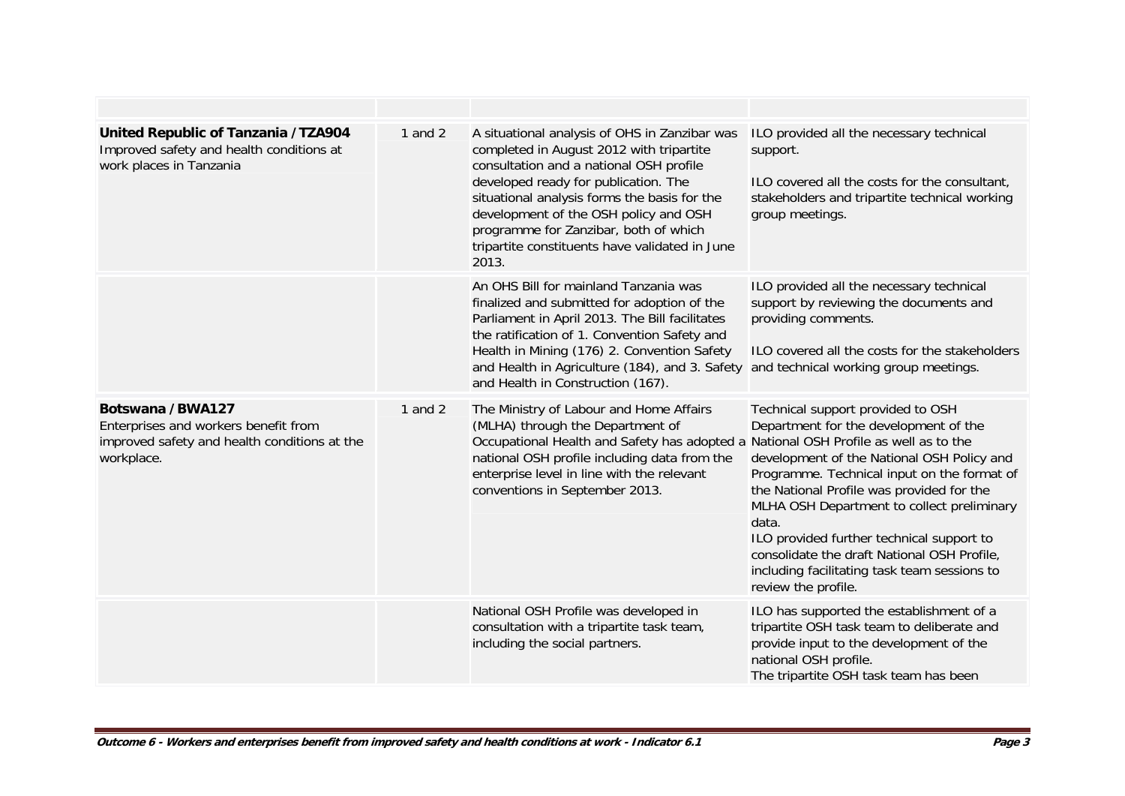| United Republic of Tanzania /TZA904<br>Improved safety and health conditions at<br>work places in Tanzania             | 1 and $2$ | A situational analysis of OHS in Zanzibar was<br>completed in August 2012 with tripartite<br>consultation and a national OSH profile<br>developed ready for publication. The<br>situational analysis forms the basis for the<br>development of the OSH policy and OSH<br>programme for Zanzibar, both of which<br>tripartite constituents have validated in June<br>2013. | ILO provided all the necessary technical<br>support.<br>ILO covered all the costs for the consultant,<br>stakeholders and tripartite technical working<br>group meetings.                                                                                                                                                                                                                                                                      |
|------------------------------------------------------------------------------------------------------------------------|-----------|---------------------------------------------------------------------------------------------------------------------------------------------------------------------------------------------------------------------------------------------------------------------------------------------------------------------------------------------------------------------------|------------------------------------------------------------------------------------------------------------------------------------------------------------------------------------------------------------------------------------------------------------------------------------------------------------------------------------------------------------------------------------------------------------------------------------------------|
|                                                                                                                        |           | An OHS Bill for mainland Tanzania was<br>finalized and submitted for adoption of the<br>Parliament in April 2013. The Bill facilitates<br>the ratification of 1. Convention Safety and<br>Health in Mining (176) 2. Convention Safety<br>and Health in Agriculture (184), and 3. Safety and technical working group meetings.<br>and Health in Construction (167).        | ILO provided all the necessary technical<br>support by reviewing the documents and<br>providing comments.<br>ILO covered all the costs for the stakeholders                                                                                                                                                                                                                                                                                    |
| Botswana /BWA127<br>Enterprises and workers benefit from<br>improved safety and health conditions at the<br>workplace. | 1 and $2$ | The Ministry of Labour and Home Affairs<br>(MLHA) through the Department of<br>Occupational Health and Safety has adopted a National OSH Profile as well as to the<br>national OSH profile including data from the<br>enterprise level in line with the relevant<br>conventions in September 2013.                                                                        | Technical support provided to OSH<br>Department for the development of the<br>development of the National OSH Policy and<br>Programme. Technical input on the format of<br>the National Profile was provided for the<br>MLHA OSH Department to collect preliminary<br>data.<br>ILO provided further technical support to<br>consolidate the draft National OSH Profile,<br>including facilitating task team sessions to<br>review the profile. |
|                                                                                                                        |           | National OSH Profile was developed in<br>consultation with a tripartite task team,<br>including the social partners.                                                                                                                                                                                                                                                      | ILO has supported the establishment of a<br>tripartite OSH task team to deliberate and<br>provide input to the development of the<br>national OSH profile.<br>The tripartite OSH task team has been                                                                                                                                                                                                                                            |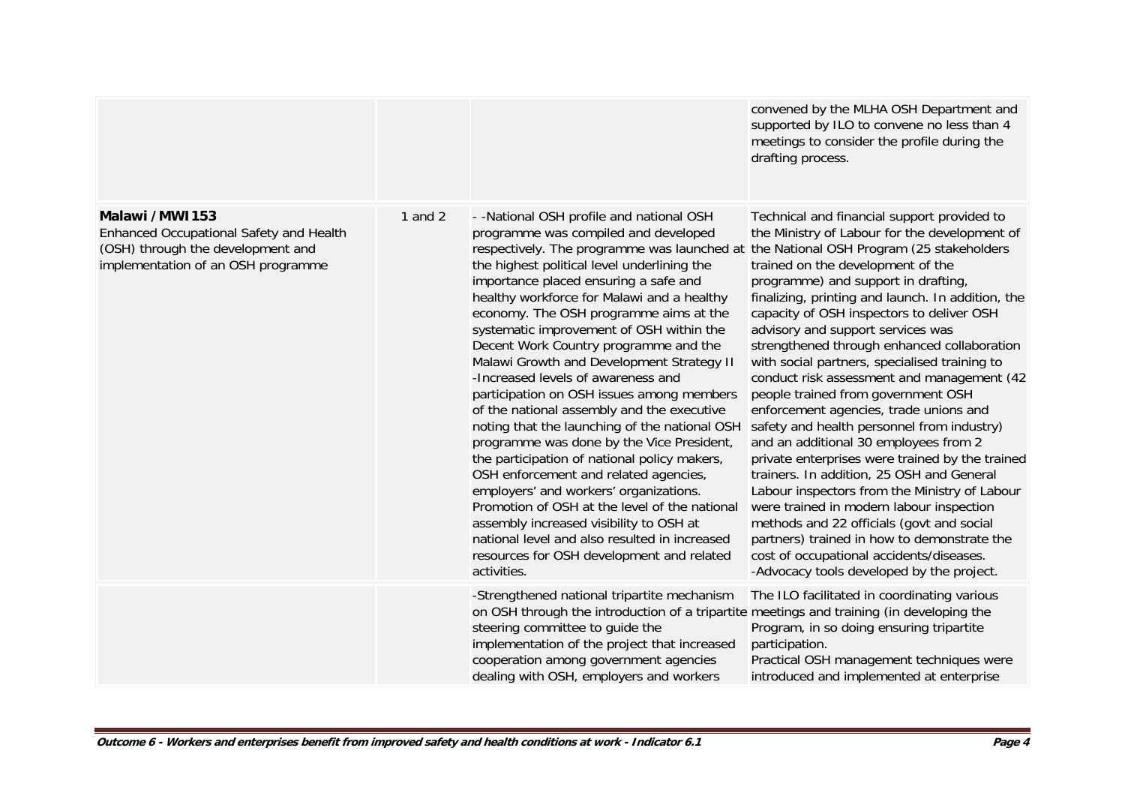|                                                                                                                                      |           |                                                                                                                                                                                                                                                                                                                                                                                                                                                                                                                                                                                                                                                                                                                                                                                                                                                                                                                                                                                                                               | convened by the MLHA OSH Department and<br>supported by ILO to convene no less than 4<br>meetings to consider the profile during the<br>drafting process.                                                                                                                                                                                                                                                                                                                                                                                                                                                                                                                                                                                                                                                                                                                                                                                                                                                                                                           |
|--------------------------------------------------------------------------------------------------------------------------------------|-----------|-------------------------------------------------------------------------------------------------------------------------------------------------------------------------------------------------------------------------------------------------------------------------------------------------------------------------------------------------------------------------------------------------------------------------------------------------------------------------------------------------------------------------------------------------------------------------------------------------------------------------------------------------------------------------------------------------------------------------------------------------------------------------------------------------------------------------------------------------------------------------------------------------------------------------------------------------------------------------------------------------------------------------------|---------------------------------------------------------------------------------------------------------------------------------------------------------------------------------------------------------------------------------------------------------------------------------------------------------------------------------------------------------------------------------------------------------------------------------------------------------------------------------------------------------------------------------------------------------------------------------------------------------------------------------------------------------------------------------------------------------------------------------------------------------------------------------------------------------------------------------------------------------------------------------------------------------------------------------------------------------------------------------------------------------------------------------------------------------------------|
| Malawi /MWI153<br>Enhanced Occupational Safety and Health<br>(OSH) through the development and<br>implementation of an OSH programme | 1 and $2$ | - - National OSH profile and national OSH<br>programme was compiled and developed<br>respectively. The programme was launched at<br>the highest political level underlining the<br>importance placed ensuring a safe and<br>healthy workforce for Malawi and a healthy<br>economy. The OSH programme aims at the<br>systematic improvement of OSH within the<br>Decent Work Country programme and the<br>Malawi Growth and Development Strategy II<br>-Increased levels of awareness and<br>participation on OSH issues among members<br>of the national assembly and the executive<br>noting that the launching of the national OSH<br>programme was done by the Vice President,<br>the participation of national policy makers,<br>OSH enforcement and related agencies,<br>employers' and workers' organizations.<br>Promotion of OSH at the level of the national<br>assembly increased visibility to OSH at<br>national level and also resulted in increased<br>resources for OSH development and related<br>activities. | Technical and financial support provided to<br>the Ministry of Labour for the development of<br>the National OSH Program (25 stakeholders<br>trained on the development of the<br>programme) and support in drafting,<br>finalizing, printing and launch. In addition, the<br>capacity of OSH inspectors to deliver OSH<br>advisory and support services was<br>strengthened through enhanced collaboration<br>with social partners, specialised training to<br>conduct risk assessment and management (42<br>people trained from government OSH<br>enforcement agencies, trade unions and<br>safety and health personnel from industry)<br>and an additional 30 employees from 2<br>private enterprises were trained by the trained<br>trainers. In addition, 25 OSH and General<br>Labour inspectors from the Ministry of Labour<br>were trained in modern labour inspection<br>methods and 22 officials (govt and social<br>partners) trained in how to demonstrate the<br>cost of occupational accidents/diseases.<br>-Advocacy tools developed by the project. |
|                                                                                                                                      |           | -Strengthened national tripartite mechanism<br>on OSH through the introduction of a tripartite meetings and training (in developing the<br>steering committee to guide the<br>implementation of the project that increased<br>cooperation among government agencies<br>dealing with OSH, employers and workers                                                                                                                                                                                                                                                                                                                                                                                                                                                                                                                                                                                                                                                                                                                | The ILO facilitated in coordinating various<br>Program, in so doing ensuring tripartite<br>participation.<br>Practical OSH management techniques were<br>introduced and implemented at enterprise                                                                                                                                                                                                                                                                                                                                                                                                                                                                                                                                                                                                                                                                                                                                                                                                                                                                   |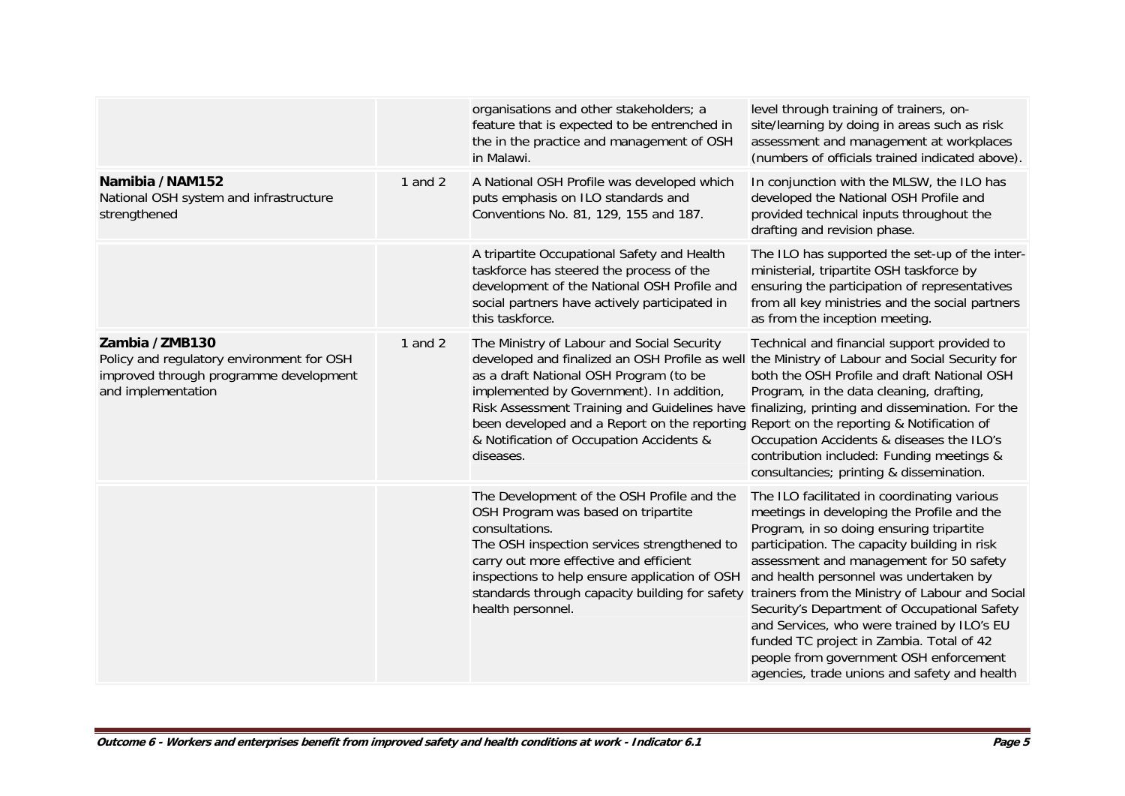|                                                                                                                             |           | organisations and other stakeholders; a<br>feature that is expected to be entrenched in<br>the in the practice and management of OSH<br>in Malawi.                                                                                                                                                                                                                                                                                    | level through training of trainers, on-<br>site/learning by doing in areas such as risk<br>assessment and management at workplaces<br>(numbers of officials trained indicated above).                                                                                                                                                                                                                                                                                                                                                                             |
|-----------------------------------------------------------------------------------------------------------------------------|-----------|---------------------------------------------------------------------------------------------------------------------------------------------------------------------------------------------------------------------------------------------------------------------------------------------------------------------------------------------------------------------------------------------------------------------------------------|-------------------------------------------------------------------------------------------------------------------------------------------------------------------------------------------------------------------------------------------------------------------------------------------------------------------------------------------------------------------------------------------------------------------------------------------------------------------------------------------------------------------------------------------------------------------|
| Namibia /NAM152<br>National OSH system and infrastructure<br>strengthened                                                   | 1 and $2$ | A National OSH Profile was developed which<br>puts emphasis on ILO standards and<br>Conventions No. 81, 129, 155 and 187.                                                                                                                                                                                                                                                                                                             | In conjunction with the MLSW, the ILO has<br>developed the National OSH Profile and<br>provided technical inputs throughout the<br>drafting and revision phase.                                                                                                                                                                                                                                                                                                                                                                                                   |
|                                                                                                                             |           | A tripartite Occupational Safety and Health<br>taskforce has steered the process of the<br>development of the National OSH Profile and<br>social partners have actively participated in<br>this taskforce.                                                                                                                                                                                                                            | The ILO has supported the set-up of the inter-<br>ministerial, tripartite OSH taskforce by<br>ensuring the participation of representatives<br>from all key ministries and the social partners<br>as from the inception meeting.                                                                                                                                                                                                                                                                                                                                  |
| Zambia /ZMB130<br>Policy and regulatory environment for OSH<br>improved through programme development<br>and implementation | 1 and $2$ | The Ministry of Labour and Social Security<br>developed and finalized an OSH Profile as well<br>as a draft National OSH Program (to be<br>implemented by Government). In addition,<br>Risk Assessment Training and Guidelines have finalizing, printing and dissemination. For the<br>been developed and a Report on the reporting Report on the reporting & Notification of<br>& Notification of Occupation Accidents &<br>diseases. | Technical and financial support provided to<br>the Ministry of Labour and Social Security for<br>both the OSH Profile and draft National OSH<br>Program, in the data cleaning, drafting,<br>Occupation Accidents & diseases the ILO's<br>contribution included: Funding meetings &<br>consultancies; printing & dissemination.                                                                                                                                                                                                                                    |
|                                                                                                                             |           | The Development of the OSH Profile and the<br>OSH Program was based on tripartite<br>consultations.<br>The OSH inspection services strengthened to<br>carry out more effective and efficient<br>inspections to help ensure application of OSH<br>standards through capacity building for safety<br>health personnel.                                                                                                                  | The ILO facilitated in coordinating various<br>meetings in developing the Profile and the<br>Program, in so doing ensuring tripartite<br>participation. The capacity building in risk<br>assessment and management for 50 safety<br>and health personnel was undertaken by<br>trainers from the Ministry of Labour and Social<br>Security's Department of Occupational Safety<br>and Services, who were trained by ILO's EU<br>funded TC project in Zambia. Total of 42<br>people from government OSH enforcement<br>agencies, trade unions and safety and health |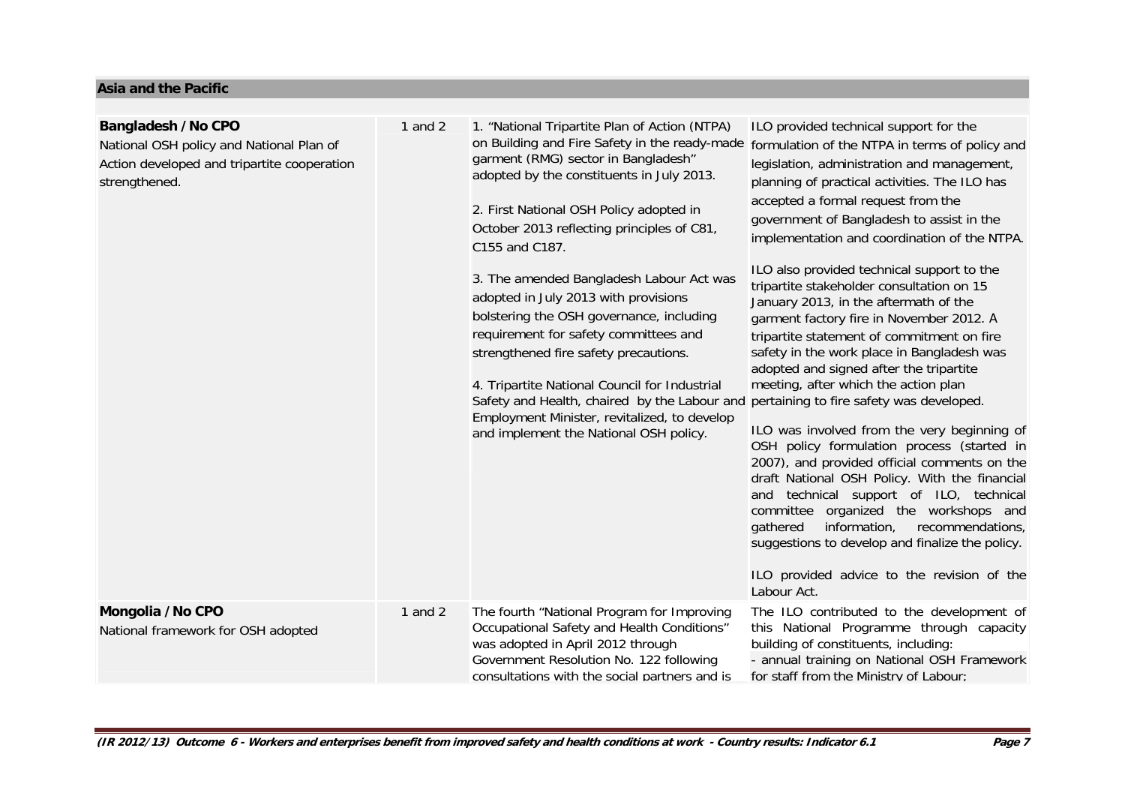#### **Asia and the Pacific**

| <b>Bangladesh /No CPO</b><br>National OSH policy and National Plan of<br>Action developed and tripartite cooperation<br>strengthened. | 1 and $2$ | 1. "National Tripartite Plan of Action (NTPA)<br>on Building and Fire Safety in the ready-made<br>garment (RMG) sector in Bangladesh"<br>adopted by the constituents in July 2013.<br>2. First National OSH Policy adopted in<br>October 2013 reflecting principles of C81,<br>C155 and C187.<br>3. The amended Bangladesh Labour Act was<br>adopted in July 2013 with provisions<br>bolstering the OSH governance, including<br>requirement for safety committees and<br>strengthened fire safety precautions.<br>4. Tripartite National Council for Industrial<br>Safety and Health, chaired by the Labour and<br>Employment Minister, revitalized, to develop<br>and implement the National OSH policy. | ILO provided technical support for the<br>formulation of the NTPA in terms of policy and<br>legislation, administration and management,<br>planning of practical activities. The ILO has<br>accepted a formal request from the<br>government of Bangladesh to assist in the<br>implementation and coordination of the NTPA.<br>ILO also provided technical support to the<br>tripartite stakeholder consultation on 15<br>January 2013, in the aftermath of the<br>garment factory fire in November 2012. A<br>tripartite statement of commitment on fire<br>safety in the work place in Bangladesh was<br>adopted and signed after the tripartite<br>meeting, after which the action plan<br>pertaining to fire safety was developed.<br>ILO was involved from the very beginning of<br>OSH policy formulation process (started in<br>2007), and provided official comments on the<br>draft National OSH Policy. With the financial<br>and technical support of ILO, technical<br>committee organized the workshops and<br>information,<br>gathered<br>recommendations,<br>suggestions to develop and finalize the policy.<br>ILO provided advice to the revision of the<br>Labour Act. |
|---------------------------------------------------------------------------------------------------------------------------------------|-----------|------------------------------------------------------------------------------------------------------------------------------------------------------------------------------------------------------------------------------------------------------------------------------------------------------------------------------------------------------------------------------------------------------------------------------------------------------------------------------------------------------------------------------------------------------------------------------------------------------------------------------------------------------------------------------------------------------------|------------------------------------------------------------------------------------------------------------------------------------------------------------------------------------------------------------------------------------------------------------------------------------------------------------------------------------------------------------------------------------------------------------------------------------------------------------------------------------------------------------------------------------------------------------------------------------------------------------------------------------------------------------------------------------------------------------------------------------------------------------------------------------------------------------------------------------------------------------------------------------------------------------------------------------------------------------------------------------------------------------------------------------------------------------------------------------------------------------------------------------------------------------------------------------------|
| Mongolia / No CPO<br>National framework for OSH adopted                                                                               | 1 and $2$ | The fourth "National Program for Improving<br>Occupational Safety and Health Conditions"<br>was adopted in April 2012 through<br>Government Resolution No. 122 following<br>consultations with the social partners and is                                                                                                                                                                                                                                                                                                                                                                                                                                                                                  | The ILO contributed to the development of<br>this National Programme through capacity<br>building of constituents, including:<br>- annual training on National OSH Framework<br>for staff from the Ministry of Labour;                                                                                                                                                                                                                                                                                                                                                                                                                                                                                                                                                                                                                                                                                                                                                                                                                                                                                                                                                                   |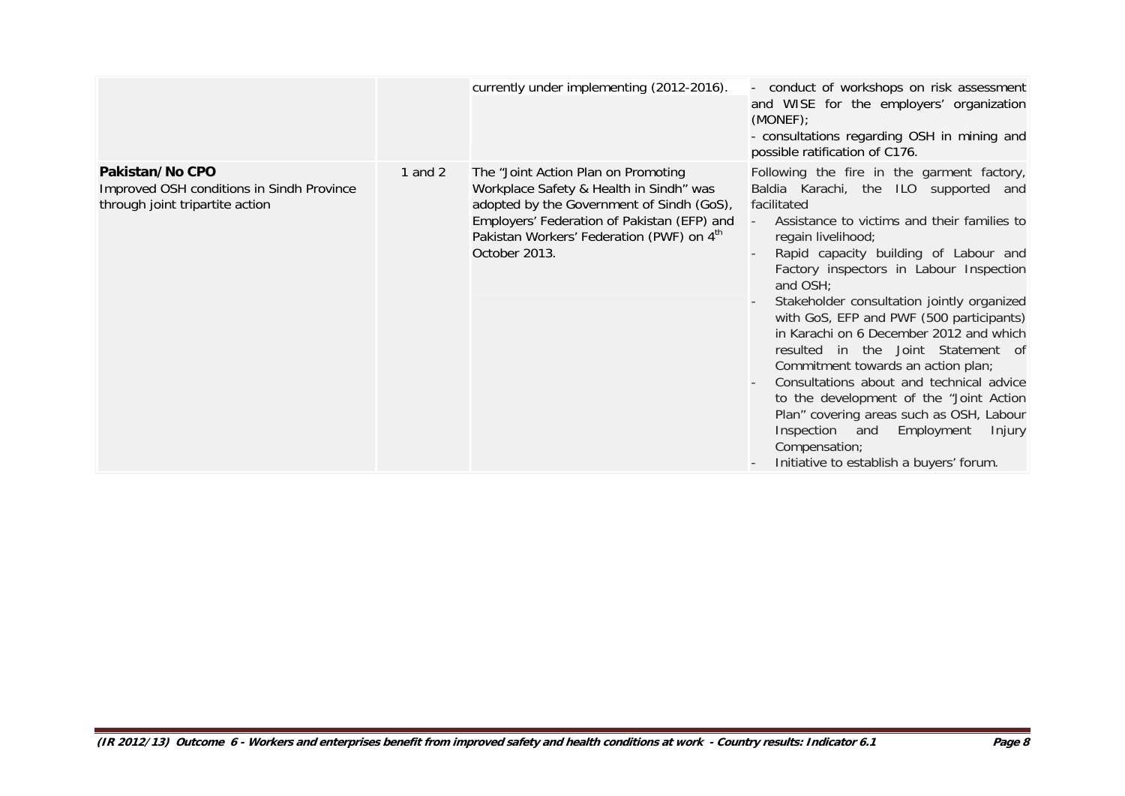|                                                                                                 |           | currently under implementing (2012-2016).                                                                                                                                                                                                            | conduct of workshops on risk assessment<br>and WISE for the employers' organization<br>(MONEF)<br>- consultations regarding OSH in mining and<br>possible ratification of C176.                                                                                                                                                                                                                                                                                                                                                                                                                                                                                                                                                                                |
|-------------------------------------------------------------------------------------------------|-----------|------------------------------------------------------------------------------------------------------------------------------------------------------------------------------------------------------------------------------------------------------|----------------------------------------------------------------------------------------------------------------------------------------------------------------------------------------------------------------------------------------------------------------------------------------------------------------------------------------------------------------------------------------------------------------------------------------------------------------------------------------------------------------------------------------------------------------------------------------------------------------------------------------------------------------------------------------------------------------------------------------------------------------|
| Pakistan/No CPO<br>Improved OSH conditions in Sindh Province<br>through joint tripartite action | 1 and $2$ | The "Joint Action Plan on Promoting<br>Workplace Safety & Health in Sindh" was<br>adopted by the Government of Sindh (GoS),<br>Employers' Federation of Pakistan (EFP) and<br>Pakistan Workers' Federation (PWF) on 4 <sup>th</sup><br>October 2013. | Following the fire in the garment factory,<br>Baldia Karachi, the ILO supported and<br>facilitated<br>Assistance to victims and their families to<br>$\overline{\phantom{a}}$<br>regain livelihood;<br>Rapid capacity building of Labour and<br>Factory inspectors in Labour Inspection<br>and OSH;<br>Stakeholder consultation jointly organized<br>with GoS, EFP and PWF (500 participants)<br>in Karachi on 6 December 2012 and which<br>resulted in the Joint Statement of<br>Commitment towards an action plan;<br>Consultations about and technical advice<br>to the development of the "Joint Action<br>Plan" covering areas such as OSH, Labour<br>Inspection and<br>Employment<br>Injury<br>Compensation;<br>Initiative to establish a buyers' forum. |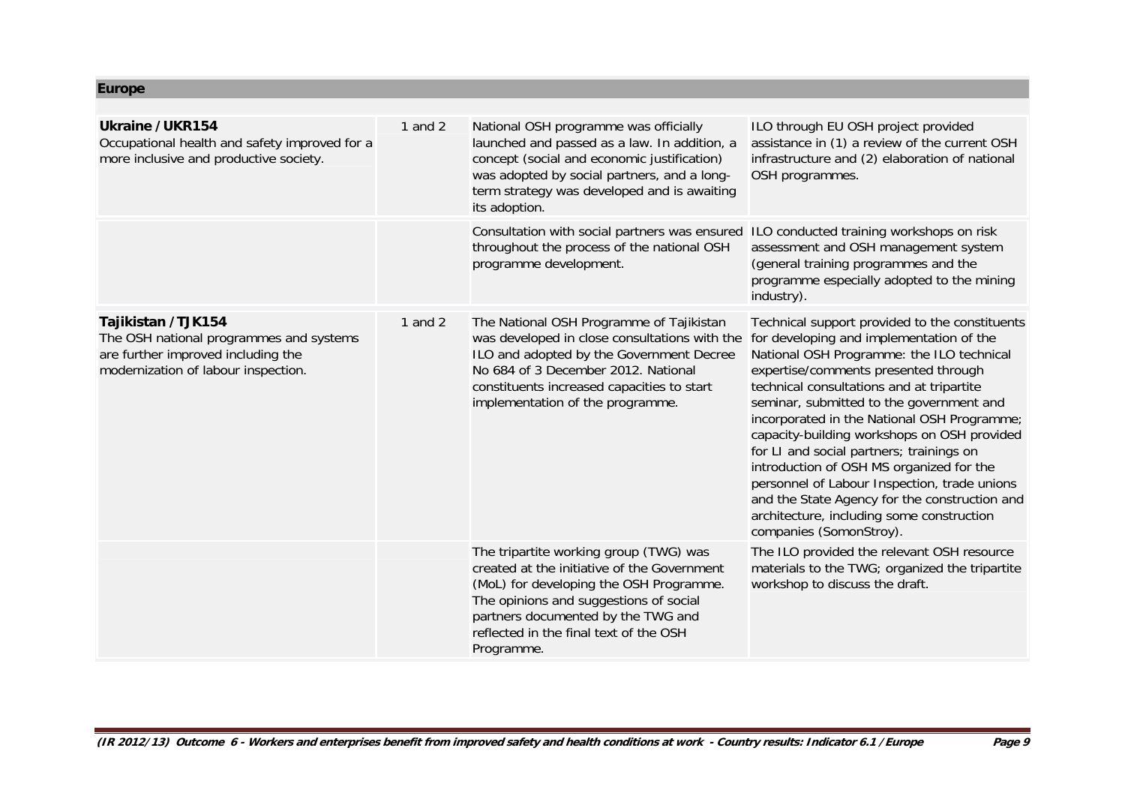**Europe**

| <b>Ukraine / UKR154</b><br>Occupational health and safety improved for a<br>more inclusive and productive society.                         | 1 and $2$ | National OSH programme was officially<br>launched and passed as a law. In addition, a<br>concept (social and economic justification)<br>was adopted by social partners, and a long-<br>term strategy was developed and is awaiting<br>its adoption.                      | ILO through EU OSH project provided<br>assistance in (1) a review of the current OSH<br>infrastructure and (2) elaboration of national<br>OSH programmes.                                                                                                                                                                                                                                                                                                                                                                                                                                                                               |
|--------------------------------------------------------------------------------------------------------------------------------------------|-----------|--------------------------------------------------------------------------------------------------------------------------------------------------------------------------------------------------------------------------------------------------------------------------|-----------------------------------------------------------------------------------------------------------------------------------------------------------------------------------------------------------------------------------------------------------------------------------------------------------------------------------------------------------------------------------------------------------------------------------------------------------------------------------------------------------------------------------------------------------------------------------------------------------------------------------------|
|                                                                                                                                            |           | Consultation with social partners was ensured<br>throughout the process of the national OSH<br>programme development.                                                                                                                                                    | ILO conducted training workshops on risk<br>assessment and OSH management system<br>(general training programmes and the<br>programme especially adopted to the mining<br>industry).                                                                                                                                                                                                                                                                                                                                                                                                                                                    |
| Tajikistan /TJK154<br>The OSH national programmes and systems<br>are further improved including the<br>modernization of labour inspection. | 1 and $2$ | The National OSH Programme of Tajikistan<br>was developed in close consultations with the<br>ILO and adopted by the Government Decree<br>No 684 of 3 December 2012. National<br>constituents increased capacities to start<br>implementation of the programme.           | Technical support provided to the constituents<br>for developing and implementation of the<br>National OSH Programme: the ILO technical<br>expertise/comments presented through<br>technical consultations and at tripartite<br>seminar, submitted to the government and<br>incorporated in the National OSH Programme;<br>capacity-building workshops on OSH provided<br>for LI and social partners; trainings on<br>introduction of OSH MS organized for the<br>personnel of Labour Inspection, trade unions<br>and the State Agency for the construction and<br>architecture, including some construction<br>companies (SomonStroy). |
|                                                                                                                                            |           | The tripartite working group (TWG) was<br>created at the initiative of the Government<br>(MoL) for developing the OSH Programme.<br>The opinions and suggestions of social<br>partners documented by the TWG and<br>reflected in the final text of the OSH<br>Programme. | The ILO provided the relevant OSH resource<br>materials to the TWG; organized the tripartite<br>workshop to discuss the draft.                                                                                                                                                                                                                                                                                                                                                                                                                                                                                                          |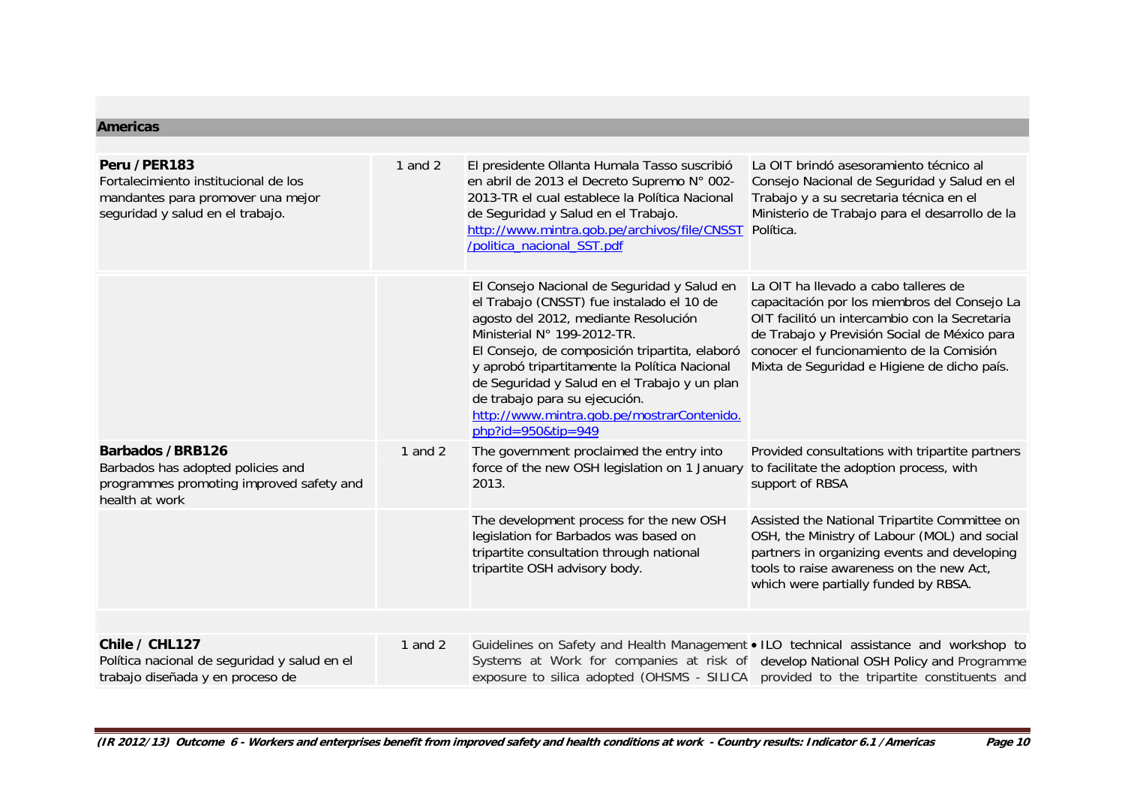#### **Americas**

| Peru / PER 183<br>Fortalecimiento institucional de los<br>mandantes para promover una mejor<br>seguridad y salud en el trabajo. | 1 and $2$ | El presidente Ollanta Humala Tasso suscribió<br>en abril de 2013 el Decreto Supremo N° 002-<br>2013-TR el cual establece la Política Nacional<br>de Seguridad y Salud en el Trabajo.<br>http://www.mintra.gob.pe/archivos/file/CNSST Política.<br>/politica_nacional_SST.pdf                                                                                                                                               | La OIT brindó asesoramiento técnico al<br>Consejo Nacional de Seguridad y Salud en el<br>Trabajo y a su secretaria técnica en el<br>Ministerio de Trabajo para el desarrollo de la                                                                                               |
|---------------------------------------------------------------------------------------------------------------------------------|-----------|----------------------------------------------------------------------------------------------------------------------------------------------------------------------------------------------------------------------------------------------------------------------------------------------------------------------------------------------------------------------------------------------------------------------------|----------------------------------------------------------------------------------------------------------------------------------------------------------------------------------------------------------------------------------------------------------------------------------|
|                                                                                                                                 |           | El Consejo Nacional de Seguridad y Salud en<br>el Trabajo (CNSST) fue instalado el 10 de<br>agosto del 2012, mediante Resolución<br>Ministerial N° 199-2012-TR.<br>El Consejo, de composición tripartita, elaboró<br>y aprobó tripartitamente la Política Nacional<br>de Seguridad y Salud en el Trabajo y un plan<br>de trabajo para su ejecución.<br>http://www.mintra.gob.pe/mostrarContenido.<br>$php$ ?id=950&tip=949 | La OIT ha llevado a cabo talleres de<br>capacitación por los miembros del Consejo La<br>OIT facilitó un intercambio con la Secretaria<br>de Trabajo y Previsión Social de México para<br>conocer el funcionamiento de la Comisión<br>Mixta de Seguridad e Higiene de dicho país. |
| <b>Barbados /BRB126</b><br>Barbados has adopted policies and<br>programmes promoting improved safety and<br>health at work      | 1 and $2$ | The government proclaimed the entry into<br>force of the new OSH legislation on 1 January<br>2013.                                                                                                                                                                                                                                                                                                                         | Provided consultations with tripartite partners<br>to facilitate the adoption process, with<br>support of RBSA                                                                                                                                                                   |
|                                                                                                                                 |           | The development process for the new OSH<br>legislation for Barbados was based on<br>tripartite consultation through national<br>tripartite OSH advisory body.                                                                                                                                                                                                                                                              | Assisted the National Tripartite Committee on<br>OSH, the Ministry of Labour (MOL) and social<br>partners in organizing events and developing<br>tools to raise awareness on the new Act,<br>which were partially funded by RBSA.                                                |
|                                                                                                                                 |           |                                                                                                                                                                                                                                                                                                                                                                                                                            |                                                                                                                                                                                                                                                                                  |
| Chile / CHL127<br>Política nacional de seguridad y salud en el<br>trabajo diseñada y en proceso de                              | 1 and $2$ |                                                                                                                                                                                                                                                                                                                                                                                                                            | Guidelines on Safety and Health Management • ILO technical assistance and workshop to<br>Systems at Work for companies at risk of develop National OSH Policy and Programme<br>exposure to silica adopted (OHSMS - SILICA provided to the tripartite constituents and            |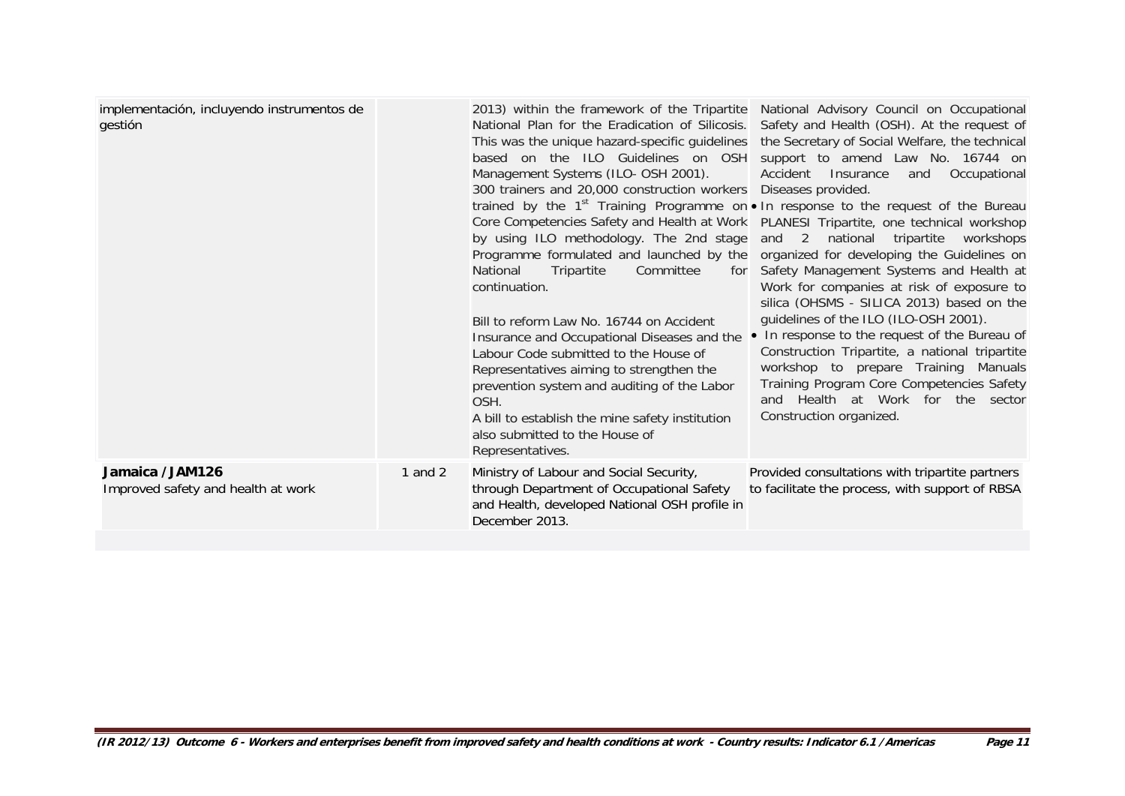| implementación, incluyendo instrumentos de<br>gestión |           | 2013) within the framework of the Tripartite<br>National Plan for the Eradication of Silicosis.<br>This was the unique hazard-specific guidelines<br>based on the ILO Guidelines on OSH<br>Management Systems (ILO- OSH 2001).<br>300 trainers and 20,000 construction workers<br>by using ILO methodology. The 2nd stage<br>Programme formulated and launched by the<br>National<br>Tripartite<br>Committee<br>for<br>continuation.<br>Bill to reform Law No. 16744 on Accident<br>Insurance and Occupational Diseases and the<br>Labour Code submitted to the House of<br>Representatives aiming to strengthen the<br>prevention system and auditing of the Labor<br>OSH.<br>A bill to establish the mine safety institution<br>also submitted to the House of<br>Representatives. | National Advisory Council on Occupational<br>Safety and Health (OSH). At the request of<br>the Secretary of Social Welfare, the technical<br>support to amend Law No. 16744 on<br>Accident<br>Insurance<br>Occupational<br>and<br>Diseases provided.<br>trained by the 1 <sup>st</sup> Training Programme on • In response to the request of the Bureau<br>Core Competencies Safety and Health at Work PLANESI Tripartite, one technical workshop<br>national<br>tripartite<br>and $2$<br>workshops<br>organized for developing the Guidelines on<br>Safety Management Systems and Health at<br>Work for companies at risk of exposure to<br>silica (OHSMS - SILICA 2013) based on the<br>guidelines of the ILO (ILO-OSH 2001).<br>• In response to the request of the Bureau of<br>Construction Tripartite, a national tripartite<br>workshop to prepare Training Manuals<br>Training Program Core Competencies Safety<br>and Health at Work for the sector<br>Construction organized. |
|-------------------------------------------------------|-----------|--------------------------------------------------------------------------------------------------------------------------------------------------------------------------------------------------------------------------------------------------------------------------------------------------------------------------------------------------------------------------------------------------------------------------------------------------------------------------------------------------------------------------------------------------------------------------------------------------------------------------------------------------------------------------------------------------------------------------------------------------------------------------------------|-----------------------------------------------------------------------------------------------------------------------------------------------------------------------------------------------------------------------------------------------------------------------------------------------------------------------------------------------------------------------------------------------------------------------------------------------------------------------------------------------------------------------------------------------------------------------------------------------------------------------------------------------------------------------------------------------------------------------------------------------------------------------------------------------------------------------------------------------------------------------------------------------------------------------------------------------------------------------------------------|
| Jamaica /JAM126<br>Improved safety and health at work | 1 and $2$ | Ministry of Labour and Social Security,<br>through Department of Occupational Safety<br>and Health, developed National OSH profile in<br>December 2013.                                                                                                                                                                                                                                                                                                                                                                                                                                                                                                                                                                                                                              | Provided consultations with tripartite partners<br>to facilitate the process, with support of RBSA                                                                                                                                                                                                                                                                                                                                                                                                                                                                                                                                                                                                                                                                                                                                                                                                                                                                                      |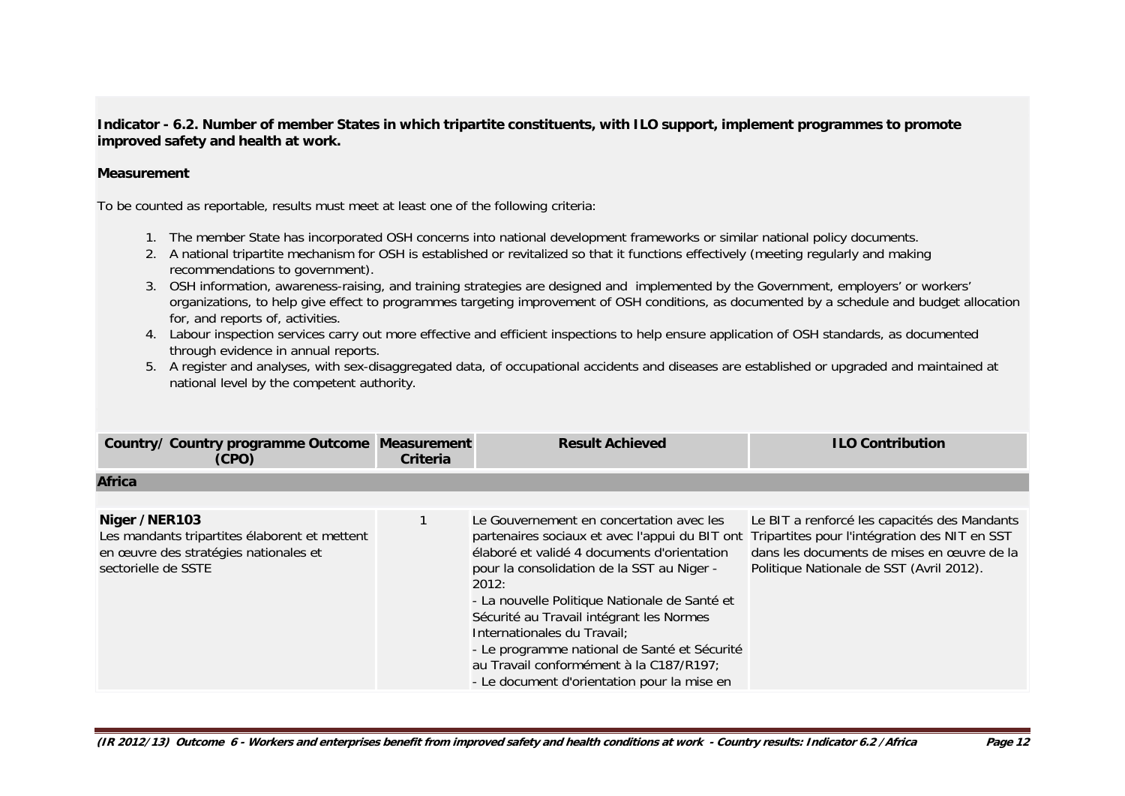**Indicator - 6.2. Number of member States in which tripartite constituents, with ILO support, implement programmes to promote improved safety and health at work.** 

## **Measurement**

To be counted as reportable, results must meet at least one of the following criteria:

- 1. The member State has incorporated OSH concerns into national development frameworks or similar national policy documents.
- 2. A national tripartite mechanism for OSH is established or revitalized so that it functions effectively (meeting regularly and making recommendations to government).
- 3. OSH information, awareness-raising, and training strategies are designed and implemented by the Government, employers' or workers' organizations, to help give effect to programmes targeting improvement of OSH conditions, as documented by a schedule and budget allocation for, and reports of, activities.
- 4. Labour inspection services carry out more effective and efficient inspections to help ensure application of OSH standards, as documented through evidence in annual reports.
- 5. A register and analyses, with sex-disaggregated data, of occupational accidents and diseases are established or upgraded and maintained at national level by the competent authority.

| Country/ Country programme Outcome Measurement<br>(CPO)                                                                        | Criteria | <b>Result Achieved</b>                                                                                                                                                                                                                                                                                                                                                                                                                                                                                               | <b>ILO Contribution</b>                                                                                                                |
|--------------------------------------------------------------------------------------------------------------------------------|----------|----------------------------------------------------------------------------------------------------------------------------------------------------------------------------------------------------------------------------------------------------------------------------------------------------------------------------------------------------------------------------------------------------------------------------------------------------------------------------------------------------------------------|----------------------------------------------------------------------------------------------------------------------------------------|
| <b>Africa</b>                                                                                                                  |          |                                                                                                                                                                                                                                                                                                                                                                                                                                                                                                                      |                                                                                                                                        |
|                                                                                                                                |          |                                                                                                                                                                                                                                                                                                                                                                                                                                                                                                                      |                                                                                                                                        |
| Niger /NER103<br>Les mandants tripartites élaborent et mettent<br>en œuvre des stratégies nationales et<br>sectorielle de SSTE |          | Le Gouvernement en concertation avec les<br>partenaires sociaux et avec l'appui du BIT ont Tripartites pour l'intégration des NIT en SST<br>élaboré et validé 4 documents d'orientation<br>pour la consolidation de la SST au Niger -<br>2012:<br>- La nouvelle Politique Nationale de Santé et<br>Sécurité au Travail intégrant les Normes<br>Internationales du Travail;<br>- Le programme national de Santé et Sécurité<br>au Travail conformément à la C187/R197;<br>- Le document d'orientation pour la mise en | Le BIT a renforcé les capacités des Mandants<br>dans les documents de mises en œuvre de la<br>Politique Nationale de SST (Avril 2012). |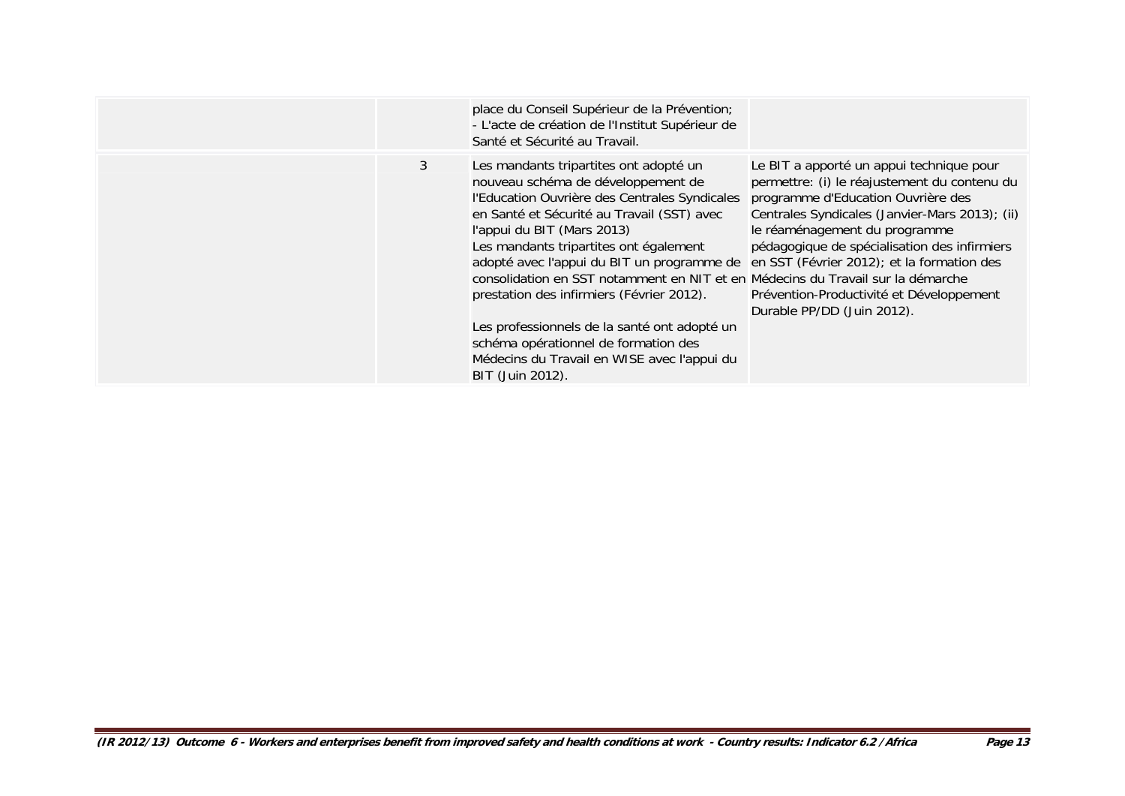|   | place du Conseil Supérieur de la Prévention;<br>- L'acte de création de l'Institut Supérieur de<br>Santé et Sécurité au Travail.                                                                                                                                                                                                                                                                                                                                                                                                                                                                                                        |                                                                                                                                                                                                                                                                                                                                             |
|---|-----------------------------------------------------------------------------------------------------------------------------------------------------------------------------------------------------------------------------------------------------------------------------------------------------------------------------------------------------------------------------------------------------------------------------------------------------------------------------------------------------------------------------------------------------------------------------------------------------------------------------------------|---------------------------------------------------------------------------------------------------------------------------------------------------------------------------------------------------------------------------------------------------------------------------------------------------------------------------------------------|
| 3 | Les mandants tripartites ont adopté un<br>nouveau schéma de développement de<br>l'Education Ouvrière des Centrales Syndicales<br>en Santé et Sécurité au Travail (SST) avec<br>l'appui du BIT (Mars 2013)<br>Les mandants tripartites ont également<br>adopté avec l'appui du BIT un programme de en SST (Février 2012); et la formation des<br>consolidation en SST notamment en NIT et en Médecins du Travail sur la démarche<br>prestation des infirmiers (Février 2012).<br>Les professionnels de la santé ont adopté un<br>schéma opérationnel de formation des<br>Médecins du Travail en WISE avec l'appui du<br>BIT (Juin 2012). | Le BIT a apporté un appui technique pour<br>permettre: (i) le réajustement du contenu du<br>programme d'Education Ouvrière des<br>Centrales Syndicales (Janvier-Mars 2013); (ii)<br>le réaménagement du programme<br>pédagogique de spécialisation des infirmiers<br>Prévention-Productivité et Développement<br>Durable PP/DD (Juin 2012). |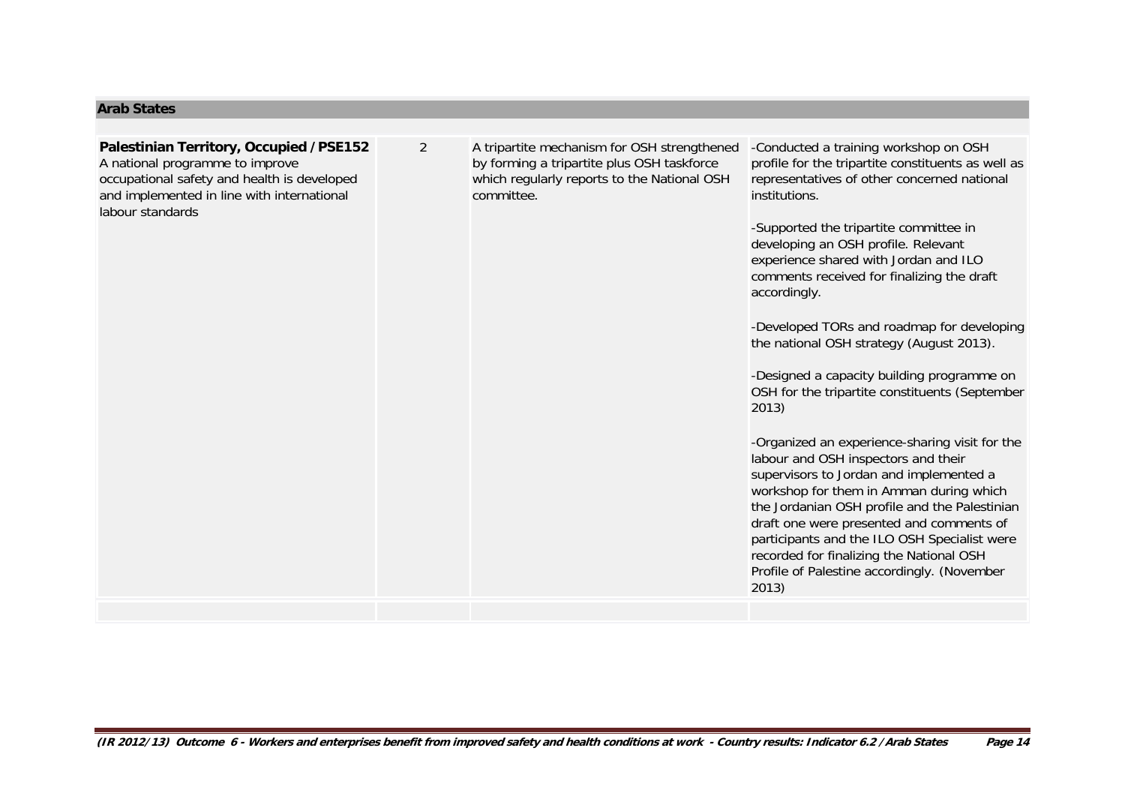#### **Arab States**

labour standards

## **Palestinian Territory, Occupied /PSE152** A national programme to improve occupational safety and health is developed and implemented in line with international

2 A tripartite mechanism for OSH strengthened by forming a tripartite plus OSH taskforce which regularly reports to the National OSH committee.

-Conducted a training workshop on OSH profile for the tripartite constituents as well as representatives of other concerned national institutions.

-Supported the tripartite committee in developing an OSH profile. Relevant experience shared with Jordan and ILO comments received for finalizing the draft accordingly.

-Developed TORs and roadmap for developing the national OSH strategy (August 2013).

-Designed a capacity building programme on OSH for the tripartite constituents (September 2013)

-Organized an experience-sharing visit for the labour and OSH inspectors and their supervisors to Jordan and implemented a workshop for them in Amman during which the Jordanian OSH profile and the Palestinian draft one were presented and comments of participants and the ILO OSH Specialist were recorded for finalizing the National OSH Profile of Palestine accordingly. (November 2013)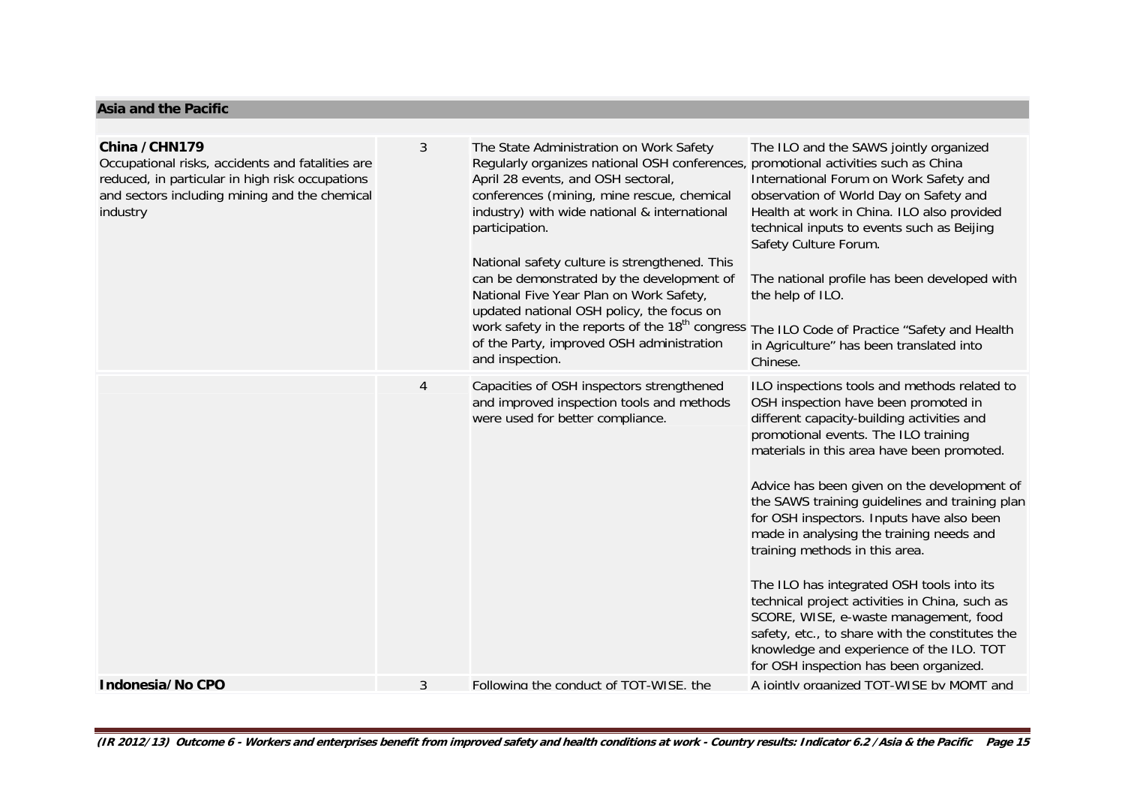#### **Asia and the Pacific**

| China / CHN179<br>Occupational risks, accidents and fatalities are<br>reduced, in particular in high risk occupations<br>and sectors including mining and the chemical<br>industry | 3 | The State Administration on Work Safety<br>Regularly organizes national OSH conferences, promotional activities such as China<br>April 28 events, and OSH sectoral,<br>conferences (mining, mine rescue, chemical<br>industry) with wide national & international<br>participation.<br>National safety culture is strengthened. This<br>can be demonstrated by the development of<br>National Five Year Plan on Work Safety,<br>updated national OSH policy, the focus on<br>work safety in the reports of the 18 <sup>th</sup> congress<br>of the Party, improved OSH administration<br>and inspection. | The ILO and the SAWS jointly organized<br>International Forum on Work Safety and<br>observation of World Day on Safety and<br>Health at work in China. ILO also provided<br>technical inputs to events such as Beijing<br>Safety Culture Forum.<br>The national profile has been developed with<br>the help of ILO.<br>The ILO Code of Practice "Safety and Health<br>in Agriculture" has been translated into<br>Chinese.                                                                                                                                                                                                                                                                                                            |
|------------------------------------------------------------------------------------------------------------------------------------------------------------------------------------|---|----------------------------------------------------------------------------------------------------------------------------------------------------------------------------------------------------------------------------------------------------------------------------------------------------------------------------------------------------------------------------------------------------------------------------------------------------------------------------------------------------------------------------------------------------------------------------------------------------------|---------------------------------------------------------------------------------------------------------------------------------------------------------------------------------------------------------------------------------------------------------------------------------------------------------------------------------------------------------------------------------------------------------------------------------------------------------------------------------------------------------------------------------------------------------------------------------------------------------------------------------------------------------------------------------------------------------------------------------------|
|                                                                                                                                                                                    | 4 | Capacities of OSH inspectors strengthened<br>and improved inspection tools and methods<br>were used for better compliance.                                                                                                                                                                                                                                                                                                                                                                                                                                                                               | ILO inspections tools and methods related to<br>OSH inspection have been promoted in<br>different capacity-building activities and<br>promotional events. The ILO training<br>materials in this area have been promoted.<br>Advice has been given on the development of<br>the SAWS training guidelines and training plan<br>for OSH inspectors. Inputs have also been<br>made in analysing the training needs and<br>training methods in this area.<br>The ILO has integrated OSH tools into its<br>technical project activities in China, such as<br>SCORE, WISE, e-waste management, food<br>safety, etc., to share with the constitutes the<br>knowledge and experience of the ILO. TOT<br>for OSH inspection has been organized. |
| Indonesia/No CPO                                                                                                                                                                   | 3 | Following the conduct of TOT-WISE. the                                                                                                                                                                                                                                                                                                                                                                                                                                                                                                                                                                   | A iointly organized TOT-WISE by MOMT and                                                                                                                                                                                                                                                                                                                                                                                                                                                                                                                                                                                                                                                                                              |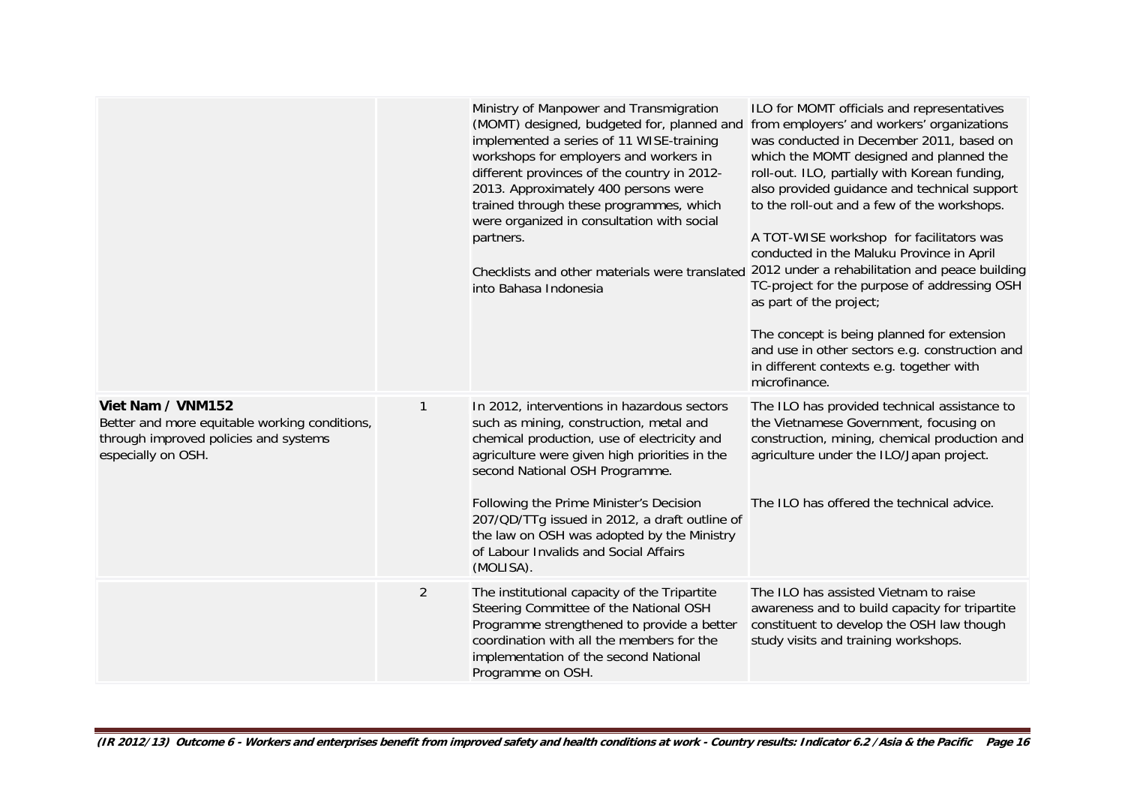|                                                                                                                                   |                | Ministry of Manpower and Transmigration<br>(MOMT) designed, budgeted for, planned and from employers' and workers' organizations<br>implemented a series of 11 WISE-training<br>workshops for employers and workers in<br>different provinces of the country in 2012-<br>2013. Approximately 400 persons were<br>trained through these programmes, which<br>were organized in consultation with social<br>partners.<br>Checklists and other materials were translated<br>into Bahasa Indonesia | ILO for MOMT officials and representatives<br>was conducted in December 2011, based on<br>which the MOMT designed and planned the<br>roll-out. ILO, partially with Korean funding,<br>also provided guidance and technical support<br>to the roll-out and a few of the workshops.<br>A TOT-WISE workshop for facilitators was<br>conducted in the Maluku Province in April<br>2012 under a rehabilitation and peace building<br>TC-project for the purpose of addressing OSH<br>as part of the project;<br>The concept is being planned for extension<br>and use in other sectors e.g. construction and<br>in different contexts e.g. together with<br>microfinance. |
|-----------------------------------------------------------------------------------------------------------------------------------|----------------|------------------------------------------------------------------------------------------------------------------------------------------------------------------------------------------------------------------------------------------------------------------------------------------------------------------------------------------------------------------------------------------------------------------------------------------------------------------------------------------------|----------------------------------------------------------------------------------------------------------------------------------------------------------------------------------------------------------------------------------------------------------------------------------------------------------------------------------------------------------------------------------------------------------------------------------------------------------------------------------------------------------------------------------------------------------------------------------------------------------------------------------------------------------------------|
| Viet Nam / VNM152<br>Better and more equitable working conditions,<br>through improved policies and systems<br>especially on OSH. | 1              | In 2012, interventions in hazardous sectors<br>such as mining, construction, metal and<br>chemical production, use of electricity and<br>agriculture were given high priorities in the<br>second National OSH Programme.                                                                                                                                                                                                                                                                       | The ILO has provided technical assistance to<br>the Vietnamese Government, focusing on<br>construction, mining, chemical production and<br>agriculture under the ILO/Japan project.                                                                                                                                                                                                                                                                                                                                                                                                                                                                                  |
|                                                                                                                                   |                | Following the Prime Minister's Decision<br>207/QD/TTg issued in 2012, a draft outline of<br>the law on OSH was adopted by the Ministry<br>of Labour Invalids and Social Affairs<br>(MOLISA).                                                                                                                                                                                                                                                                                                   | The ILO has offered the technical advice.                                                                                                                                                                                                                                                                                                                                                                                                                                                                                                                                                                                                                            |
|                                                                                                                                   | $\overline{2}$ | The institutional capacity of the Tripartite<br>Steering Committee of the National OSH<br>Programme strengthened to provide a better<br>coordination with all the members for the<br>implementation of the second National<br>Programme on OSH.                                                                                                                                                                                                                                                | The ILO has assisted Vietnam to raise<br>awareness and to build capacity for tripartite<br>constituent to develop the OSH law though<br>study visits and training workshops.                                                                                                                                                                                                                                                                                                                                                                                                                                                                                         |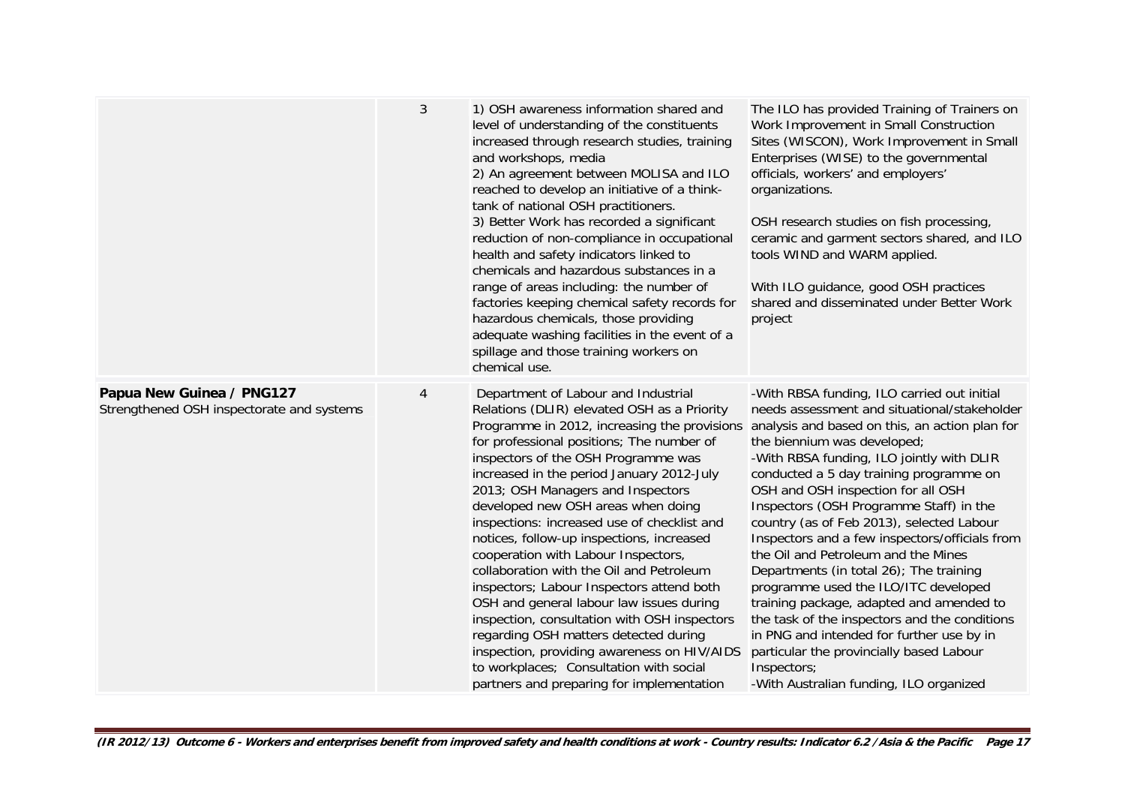|                                                                        | 3              | 1) OSH awareness information shared and<br>level of understanding of the constituents<br>increased through research studies, training<br>and workshops, media<br>2) An agreement between MOLISA and ILO<br>reached to develop an initiative of a think-<br>tank of national OSH practitioners.<br>3) Better Work has recorded a significant<br>reduction of non-compliance in occupational<br>health and safety indicators linked to<br>chemicals and hazardous substances in a<br>range of areas including: the number of<br>factories keeping chemical safety records for<br>hazardous chemicals, those providing<br>adequate washing facilities in the event of a<br>spillage and those training workers on<br>chemical use.                                                                                                                        | The ILO has provided Training of Trainers on<br>Work Improvement in Small Construction<br>Sites (WISCON), Work Improvement in Small<br>Enterprises (WISE) to the governmental<br>officials, workers' and employers'<br>organizations.<br>OSH research studies on fish processing,<br>ceramic and garment sectors shared, and ILO<br>tools WIND and WARM applied.<br>With ILO guidance, good OSH practices<br>shared and disseminated under Better Work<br>project                                                                                                                                                                                                                                                                                                                                                              |
|------------------------------------------------------------------------|----------------|--------------------------------------------------------------------------------------------------------------------------------------------------------------------------------------------------------------------------------------------------------------------------------------------------------------------------------------------------------------------------------------------------------------------------------------------------------------------------------------------------------------------------------------------------------------------------------------------------------------------------------------------------------------------------------------------------------------------------------------------------------------------------------------------------------------------------------------------------------|--------------------------------------------------------------------------------------------------------------------------------------------------------------------------------------------------------------------------------------------------------------------------------------------------------------------------------------------------------------------------------------------------------------------------------------------------------------------------------------------------------------------------------------------------------------------------------------------------------------------------------------------------------------------------------------------------------------------------------------------------------------------------------------------------------------------------------|
| Papua New Guinea / PNG127<br>Strengthened OSH inspectorate and systems | $\overline{4}$ | Department of Labour and Industrial<br>Relations (DLIR) elevated OSH as a Priority<br>Programme in 2012, increasing the provisions<br>for professional positions; The number of<br>inspectors of the OSH Programme was<br>increased in the period January 2012-July<br>2013; OSH Managers and Inspectors<br>developed new OSH areas when doing<br>inspections: increased use of checklist and<br>notices, follow-up inspections, increased<br>cooperation with Labour Inspectors,<br>collaboration with the Oil and Petroleum<br>inspectors; Labour Inspectors attend both<br>OSH and general labour law issues during<br>inspection, consultation with OSH inspectors<br>regarding OSH matters detected during<br>inspection, providing awareness on HIV/AIDS<br>to workplaces; Consultation with social<br>partners and preparing for implementation | -With RBSA funding, ILO carried out initial<br>needs assessment and situational/stakeholder<br>analysis and based on this, an action plan for<br>the biennium was developed;<br>-With RBSA funding, ILO jointly with DLIR<br>conducted a 5 day training programme on<br>OSH and OSH inspection for all OSH<br>Inspectors (OSH Programme Staff) in the<br>country (as of Feb 2013), selected Labour<br>Inspectors and a few inspectors/officials from<br>the Oil and Petroleum and the Mines<br>Departments (in total 26); The training<br>programme used the ILO/ITC developed<br>training package, adapted and amended to<br>the task of the inspectors and the conditions<br>in PNG and intended for further use by in<br>particular the provincially based Labour<br>Inspectors;<br>-With Australian funding, ILO organized |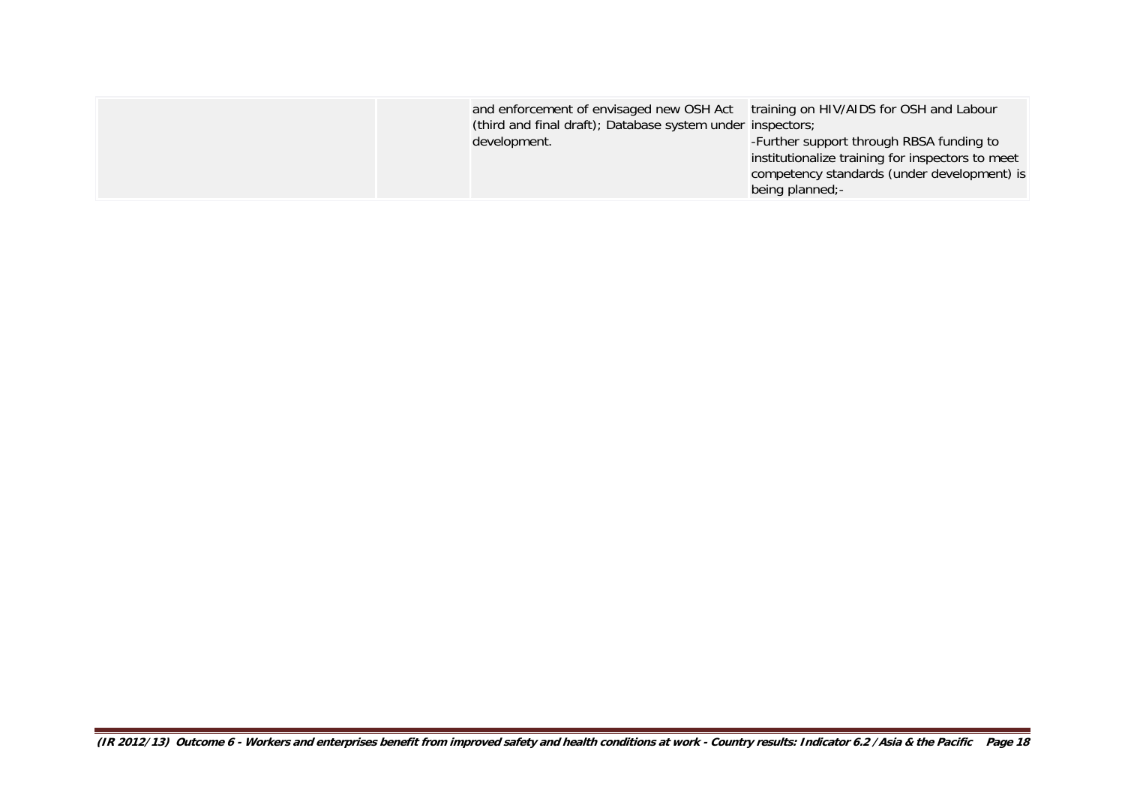| and enforcement of envisaged new OSH Act<br>(third and final draft); Database system under inspectors;<br>development. | training on HIV/AIDS for OSH and Labour<br>-Further support through RBSA funding to<br>institutionalize training for inspectors to meet<br>competency standards (under development) is<br>being planned;- |
|------------------------------------------------------------------------------------------------------------------------|-----------------------------------------------------------------------------------------------------------------------------------------------------------------------------------------------------------|
|------------------------------------------------------------------------------------------------------------------------|-----------------------------------------------------------------------------------------------------------------------------------------------------------------------------------------------------------|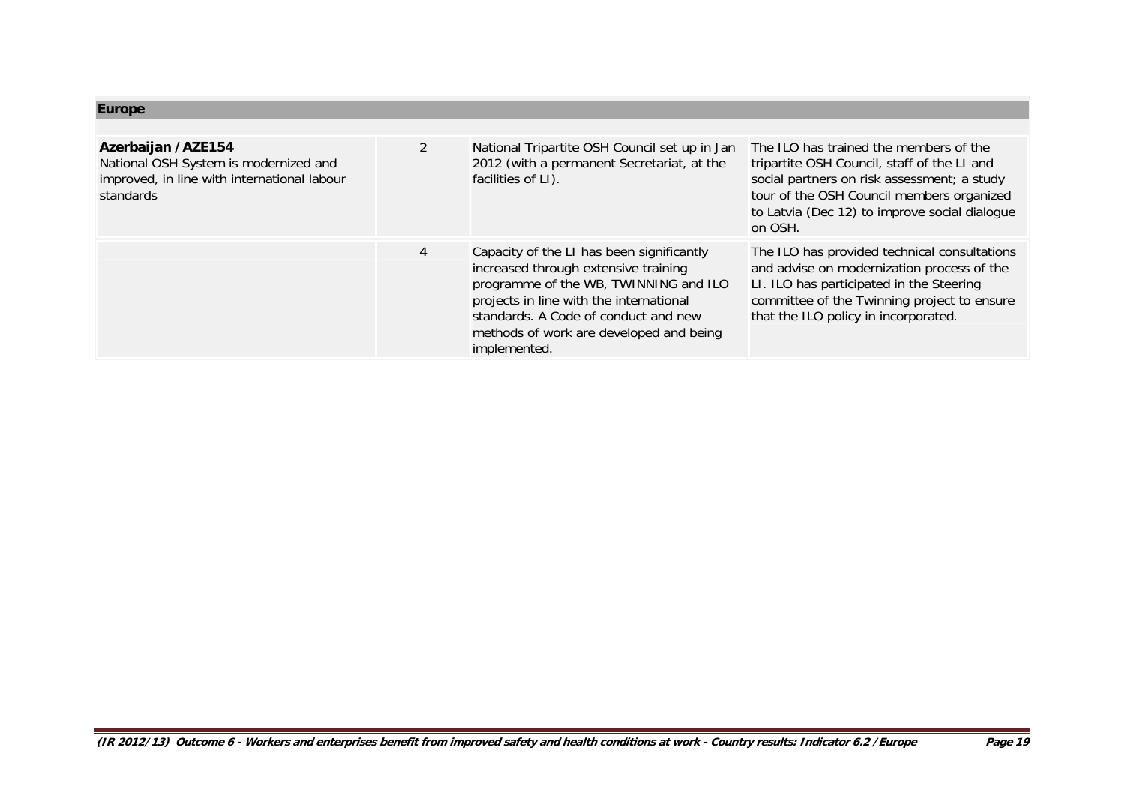## **Europe**

| Azerbaijan /AZE154<br>National OSH System is modernized and<br>improved, in line with international labour<br>standards | 2 | National Tripartite OSH Council set up in Jan<br>2012 (with a permanent Secretariat, at the<br>facilities of LI).                                                                                                                                                        | The ILO has trained the members of the<br>tripartite OSH Council, staff of the LI and<br>social partners on risk assessment; a study<br>tour of the OSH Council members organized<br>to Latvia (Dec 12) to improve social dialogue<br>on OSH. |
|-------------------------------------------------------------------------------------------------------------------------|---|--------------------------------------------------------------------------------------------------------------------------------------------------------------------------------------------------------------------------------------------------------------------------|-----------------------------------------------------------------------------------------------------------------------------------------------------------------------------------------------------------------------------------------------|
|                                                                                                                         | 4 | Capacity of the LI has been significantly<br>increased through extensive training<br>programme of the WB, TWINNING and ILO<br>projects in line with the international<br>standards. A Code of conduct and new<br>methods of work are developed and being<br>implemented. | The ILO has provided technical consultations<br>and advise on modernization process of the<br>LI. ILO has participated in the Steering<br>committee of the Twinning project to ensure<br>that the ILO policy in incorporated.                 |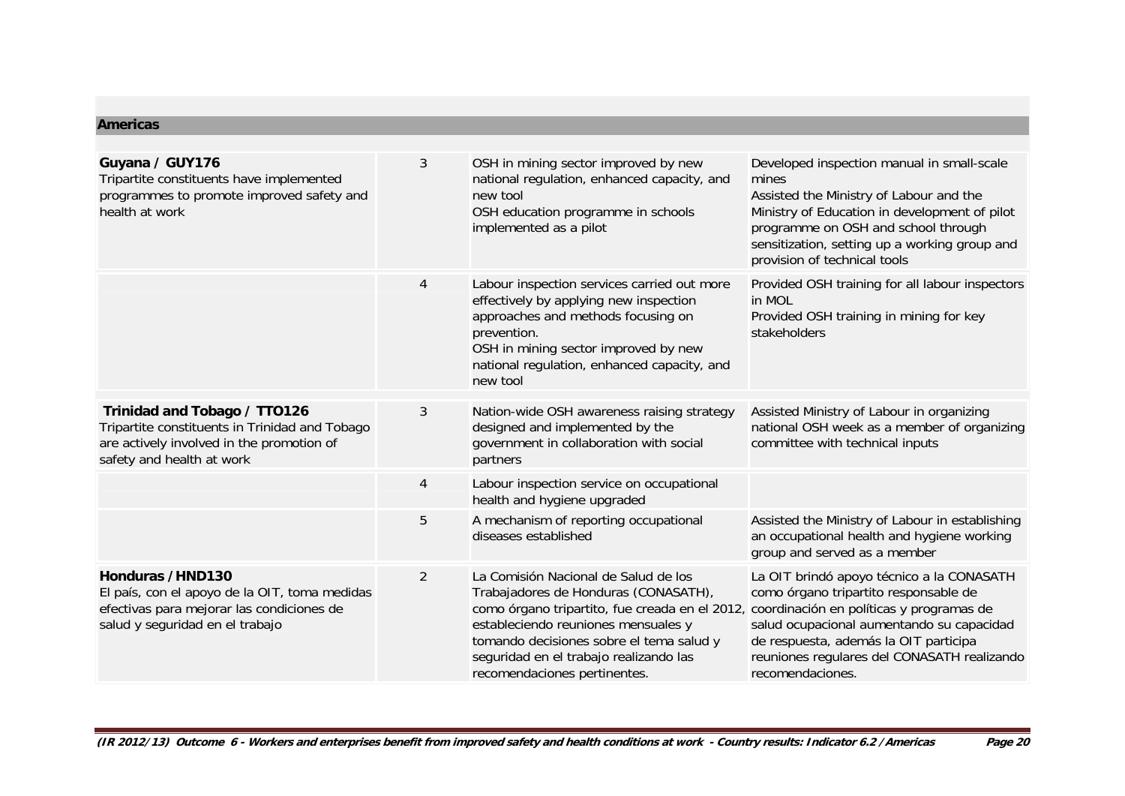#### **Americas**

| Guyana / GUY176<br>Tripartite constituents have implemented<br>programmes to promote improved safety and<br>health at work                               | 3              | OSH in mining sector improved by new<br>national regulation, enhanced capacity, and<br>new tool<br>OSH education programme in schools<br>implemented as a pilot                                                                                                                             | Developed inspection manual in small-scale<br>mines<br>Assisted the Ministry of Labour and the<br>Ministry of Education in development of pilot<br>programme on OSH and school through<br>sensitization, setting up a working group and<br>provision of technical tools                 |
|----------------------------------------------------------------------------------------------------------------------------------------------------------|----------------|---------------------------------------------------------------------------------------------------------------------------------------------------------------------------------------------------------------------------------------------------------------------------------------------|-----------------------------------------------------------------------------------------------------------------------------------------------------------------------------------------------------------------------------------------------------------------------------------------|
|                                                                                                                                                          | 4              | Labour inspection services carried out more<br>effectively by applying new inspection<br>approaches and methods focusing on<br>prevention.<br>OSH in mining sector improved by new<br>national regulation, enhanced capacity, and<br>new tool                                               | Provided OSH training for all labour inspectors<br>in MOL<br>Provided OSH training in mining for key<br>stakeholders                                                                                                                                                                    |
| Trinidad and Tobago / TTO126<br>Tripartite constituents in Trinidad and Tobago<br>are actively involved in the promotion of<br>safety and health at work | 3              | Nation-wide OSH awareness raising strategy<br>designed and implemented by the<br>government in collaboration with social<br>partners                                                                                                                                                        | Assisted Ministry of Labour in organizing<br>national OSH week as a member of organizing<br>committee with technical inputs                                                                                                                                                             |
|                                                                                                                                                          | $\overline{4}$ | Labour inspection service on occupational<br>health and hygiene upgraded                                                                                                                                                                                                                    |                                                                                                                                                                                                                                                                                         |
|                                                                                                                                                          | 5              | A mechanism of reporting occupational<br>diseases established                                                                                                                                                                                                                               | Assisted the Ministry of Labour in establishing<br>an occupational health and hygiene working<br>group and served as a member                                                                                                                                                           |
| Honduras /HND130<br>El país, con el apoyo de la OIT, toma medidas<br>efectivas para mejorar las condiciones de<br>salud y seguridad en el trabajo        | $\overline{2}$ | La Comisión Nacional de Salud de los<br>Trabajadores de Honduras (CONASATH),<br>como órgano tripartito, fue creada en el 2012,<br>estableciendo reuniones mensuales y<br>tomando decisiones sobre el tema salud y<br>seguridad en el trabajo realizando las<br>recomendaciones pertinentes. | La OIT brindó apoyo técnico a la CONASATH<br>como órgano tripartito responsable de<br>coordinación en políticas y programas de<br>salud ocupacional aumentando su capacidad<br>de respuesta, además la OIT participa<br>reuniones regulares del CONASATH realizando<br>recomendaciones. |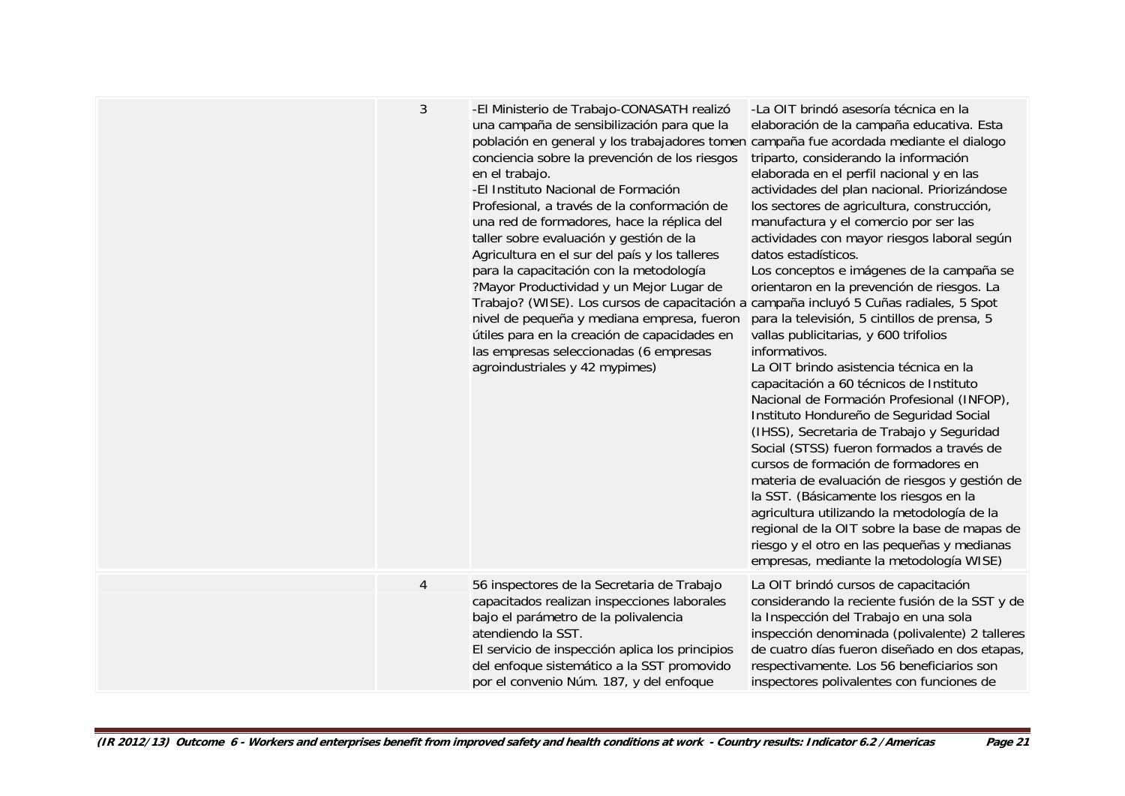| 3              | -El Ministerio de Trabajo-CONASATH realizó<br>una campaña de sensibilización para que la<br>población en general y los trabajadores tomen campaña fue acordada mediante el dialogo<br>conciencia sobre la prevención de los riesgos<br>en el trabajo.<br>-El Instituto Nacional de Formación<br>Profesional, a través de la conformación de<br>una red de formadores, hace la réplica del<br>taller sobre evaluación y gestión de la<br>Agricultura en el sur del país y los talleres<br>para la capacitación con la metodología<br>?Mayor Productividad y un Mejor Lugar de<br>Trabajo? (WISE). Los cursos de capacitación a campaña incluyó 5 Cuñas radiales, 5 Spot<br>nivel de pequeña y mediana empresa, fueron<br>útiles para en la creación de capacidades en<br>las empresas seleccionadas (6 empresas<br>agroindustriales y 42 mypimes) | -La OIT brindó asesoría técnica en la<br>elaboración de la campaña educativa. Esta<br>triparto, considerando la información<br>elaborada en el perfil nacional y en las<br>actividades del plan nacional. Priorizándose<br>los sectores de agricultura, construcción,<br>manufactura y el comercio por ser las<br>actividades con mayor riesgos laboral según<br>datos estadísticos.<br>Los conceptos e imágenes de la campaña se<br>orientaron en la prevención de riesgos. La<br>para la televisión, 5 cintillos de prensa, 5<br>vallas publicitarias, y 600 trifolios<br>informativos.<br>La OIT brindo asistencia técnica en la<br>capacitación a 60 técnicos de Instituto<br>Nacional de Formación Profesional (INFOP),<br>Instituto Hondureño de Seguridad Social<br>(IHSS), Secretaria de Trabajo y Seguridad<br>Social (STSS) fueron formados a través de<br>cursos de formación de formadores en<br>materia de evaluación de riesgos y gestión de<br>la SST. (Básicamente los riesgos en la<br>agricultura utilizando la metodología de la<br>regional de la OIT sobre la base de mapas de<br>riesgo y el otro en las pequeñas y medianas<br>empresas, mediante la metodología WISE) |
|----------------|--------------------------------------------------------------------------------------------------------------------------------------------------------------------------------------------------------------------------------------------------------------------------------------------------------------------------------------------------------------------------------------------------------------------------------------------------------------------------------------------------------------------------------------------------------------------------------------------------------------------------------------------------------------------------------------------------------------------------------------------------------------------------------------------------------------------------------------------------|-----------------------------------------------------------------------------------------------------------------------------------------------------------------------------------------------------------------------------------------------------------------------------------------------------------------------------------------------------------------------------------------------------------------------------------------------------------------------------------------------------------------------------------------------------------------------------------------------------------------------------------------------------------------------------------------------------------------------------------------------------------------------------------------------------------------------------------------------------------------------------------------------------------------------------------------------------------------------------------------------------------------------------------------------------------------------------------------------------------------------------------------------------------------------------------------------|
| $\overline{4}$ | 56 inspectores de la Secretaria de Trabajo<br>capacitados realizan inspecciones laborales<br>bajo el parámetro de la polivalencia<br>atendiendo la SST.<br>El servicio de inspección aplica los principios<br>del enfoque sistemático a la SST promovido<br>por el convenio Núm. 187, y del enfoque                                                                                                                                                                                                                                                                                                                                                                                                                                                                                                                                              | La OIT brindó cursos de capacitación<br>considerando la reciente fusión de la SST y de<br>la Inspección del Trabajo en una sola<br>inspección denominada (polivalente) 2 talleres<br>de cuatro días fueron diseñado en dos etapas,<br>respectivamente. Los 56 beneficiarios son<br>inspectores polivalentes con funciones de                                                                                                                                                                                                                                                                                                                                                                                                                                                                                                                                                                                                                                                                                                                                                                                                                                                                  |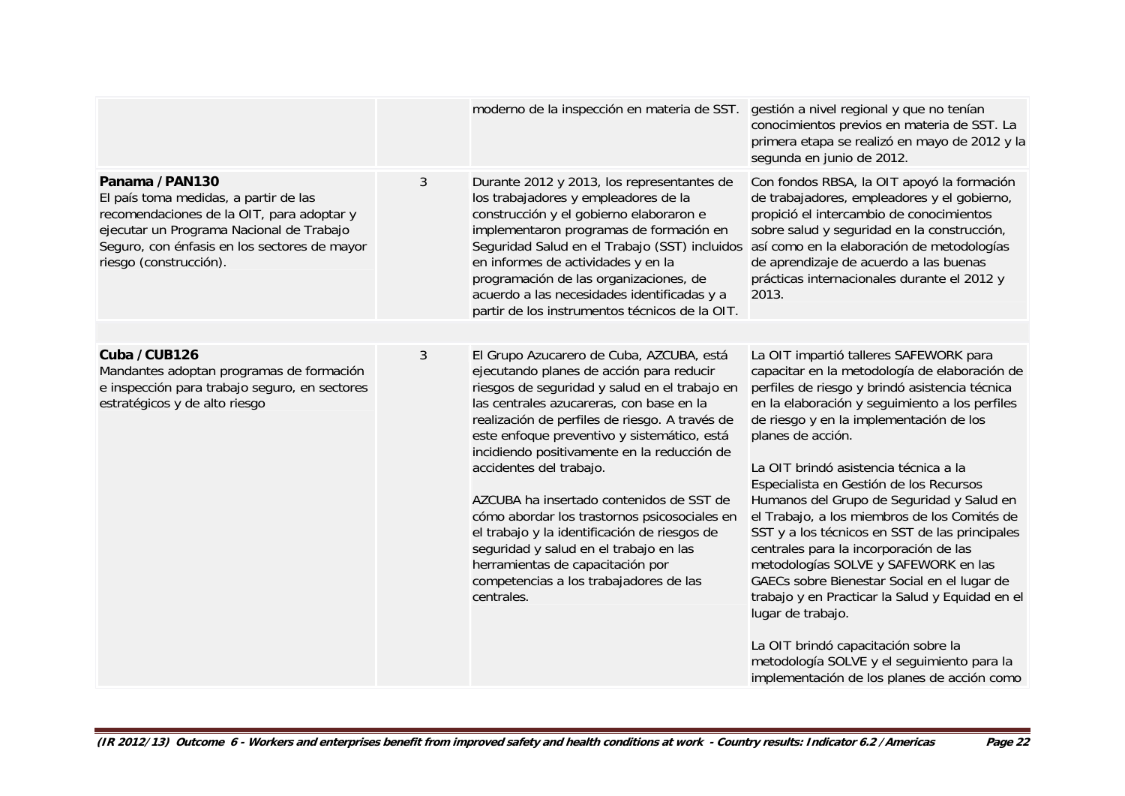|                                                                                                                                                                                                                            |   | moderno de la inspección en materia de SST. gestión a nivel regional y que no tenían                                                                                                                                                                                                                                                                                                                                                                                                                                                                                                                                                           | conocimientos previos en materia de SST. La<br>primera etapa se realizó en mayo de 2012 y la<br>segunda en junio de 2012.                                                                                                                                                                                                                                                                                                                                                                                                                                                                                                                                                                                                                                                                                                                   |
|----------------------------------------------------------------------------------------------------------------------------------------------------------------------------------------------------------------------------|---|------------------------------------------------------------------------------------------------------------------------------------------------------------------------------------------------------------------------------------------------------------------------------------------------------------------------------------------------------------------------------------------------------------------------------------------------------------------------------------------------------------------------------------------------------------------------------------------------------------------------------------------------|---------------------------------------------------------------------------------------------------------------------------------------------------------------------------------------------------------------------------------------------------------------------------------------------------------------------------------------------------------------------------------------------------------------------------------------------------------------------------------------------------------------------------------------------------------------------------------------------------------------------------------------------------------------------------------------------------------------------------------------------------------------------------------------------------------------------------------------------|
| Panama /PAN130<br>El país toma medidas, a partir de las<br>recomendaciones de la OIT, para adoptar y<br>ejecutar un Programa Nacional de Trabajo<br>Seguro, con énfasis en los sectores de mayor<br>riesgo (construcción). | 3 | Durante 2012 y 2013, los representantes de<br>los trabajadores y empleadores de la<br>construcción y el gobierno elaboraron e<br>implementaron programas de formación en<br>Seguridad Salud en el Trabajo (SST) incluidos<br>en informes de actividades y en la<br>programación de las organizaciones, de<br>acuerdo a las necesidades identificadas y a<br>partir de los instrumentos técnicos de la OIT.                                                                                                                                                                                                                                     | Con fondos RBSA, la OIT apoyó la formación<br>de trabajadores, empleadores y el gobierno,<br>propició el intercambio de conocimientos<br>sobre salud y seguridad en la construcción,<br>así como en la elaboración de metodologías<br>de aprendizaje de acuerdo a las buenas<br>prácticas internacionales durante el 2012 y<br>2013.                                                                                                                                                                                                                                                                                                                                                                                                                                                                                                        |
|                                                                                                                                                                                                                            |   |                                                                                                                                                                                                                                                                                                                                                                                                                                                                                                                                                                                                                                                |                                                                                                                                                                                                                                                                                                                                                                                                                                                                                                                                                                                                                                                                                                                                                                                                                                             |
| Cuba / CUB126<br>Mandantes adoptan programas de formación<br>e inspección para trabajo seguro, en sectores<br>estratégicos y de alto riesgo                                                                                | 3 | El Grupo Azucarero de Cuba, AZCUBA, está<br>ejecutando planes de acción para reducir<br>riesgos de seguridad y salud en el trabajo en<br>las centrales azucareras, con base en la<br>realización de perfiles de riesgo. A través de<br>este enfoque preventivo y sistemático, está<br>incidiendo positivamente en la reducción de<br>accidentes del trabajo.<br>AZCUBA ha insertado contenidos de SST de<br>cómo abordar los trastornos psicosociales en<br>el trabajo y la identificación de riesgos de<br>seguridad y salud en el trabajo en las<br>herramientas de capacitación por<br>competencias a los trabajadores de las<br>centrales. | La OIT impartió talleres SAFEWORK para<br>capacitar en la metodología de elaboración de<br>perfiles de riesgo y brindó asistencia técnica<br>en la elaboración y seguimiento a los perfiles<br>de riesgo y en la implementación de los<br>planes de acción.<br>La OIT brindó asistencia técnica a la<br>Especialista en Gestión de los Recursos<br>Humanos del Grupo de Seguridad y Salud en<br>el Trabajo, a los miembros de los Comités de<br>SST y a los técnicos en SST de las principales<br>centrales para la incorporación de las<br>metodologías SOLVE y SAFEWORK en las<br>GAECs sobre Bienestar Social en el lugar de<br>trabajo y en Practicar la Salud y Equidad en el<br>lugar de trabajo.<br>La OIT brindó capacitación sobre la<br>metodología SOLVE y el seguimiento para la<br>implementación de los planes de acción como |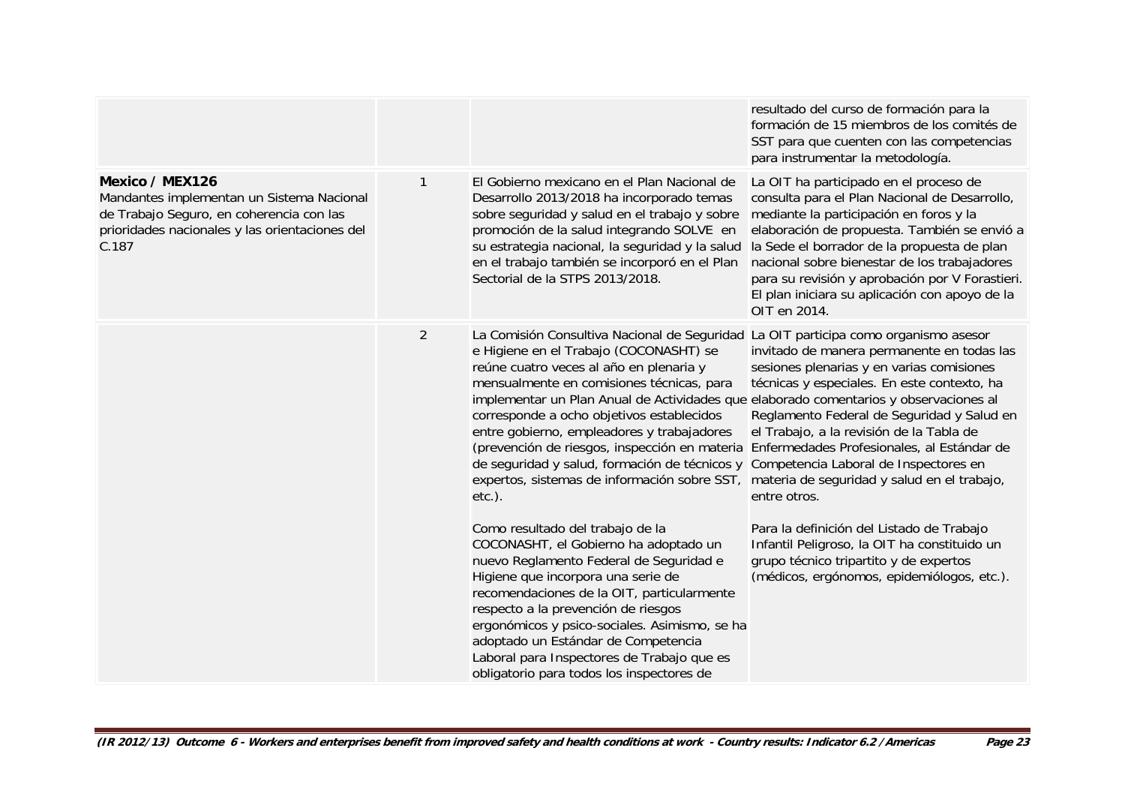|                                                                                                                                                                     |                |                                                                                                                                                                                                                                                                                                                                                                                                                                                                                                                                                                                                                                                                                                                                                                                                                                                                                                                                                                         | resultado del curso de formación para la<br>formación de 15 miembros de los comités de<br>SST para que cuenten con las competencias<br>para instrumentar la metodología.                                                                                                                                                                                                                                                                                                                                                                                                                                              |
|---------------------------------------------------------------------------------------------------------------------------------------------------------------------|----------------|-------------------------------------------------------------------------------------------------------------------------------------------------------------------------------------------------------------------------------------------------------------------------------------------------------------------------------------------------------------------------------------------------------------------------------------------------------------------------------------------------------------------------------------------------------------------------------------------------------------------------------------------------------------------------------------------------------------------------------------------------------------------------------------------------------------------------------------------------------------------------------------------------------------------------------------------------------------------------|-----------------------------------------------------------------------------------------------------------------------------------------------------------------------------------------------------------------------------------------------------------------------------------------------------------------------------------------------------------------------------------------------------------------------------------------------------------------------------------------------------------------------------------------------------------------------------------------------------------------------|
| Mexico / MEX126<br>Mandantes implementan un Sistema Nacional<br>de Trabajo Seguro, en coherencia con las<br>prioridades nacionales y las orientaciones del<br>C.187 | 1              | El Gobierno mexicano en el Plan Nacional de<br>Desarrollo 2013/2018 ha incorporado temas<br>sobre seguridad y salud en el trabajo y sobre<br>promoción de la salud integrando SOLVE en<br>su estrategia nacional, la seguridad y la salud<br>en el trabajo también se incorporó en el Plan<br>Sectorial de la STPS 2013/2018.                                                                                                                                                                                                                                                                                                                                                                                                                                                                                                                                                                                                                                           | La OIT ha participado en el proceso de<br>consulta para el Plan Nacional de Desarrollo,<br>mediante la participación en foros y la<br>elaboración de propuesta. También se envió a<br>la Sede el borrador de la propuesta de plan<br>nacional sobre bienestar de los trabajadores<br>para su revisión y aprobación por V Forastieri.<br>El plan iniciara su aplicación con apoyo de la<br>OIT en 2014.                                                                                                                                                                                                                |
|                                                                                                                                                                     | $\overline{2}$ | La Comisión Consultiva Nacional de Seguridad<br>e Higiene en el Trabajo (COCONASHT) se<br>reúne cuatro veces al año en plenaria y<br>mensualmente en comisiones técnicas, para<br>implementar un Plan Anual de Actividades que elaborado comentarios y observaciones al<br>corresponde a ocho objetivos establecidos<br>entre gobierno, empleadores y trabajadores<br>(prevención de riesgos, inspección en materia<br>de seguridad y salud, formación de técnicos y<br>expertos, sistemas de información sobre SST,<br>$etc.$ ).<br>Como resultado del trabajo de la<br>COCONASHT, el Gobierno ha adoptado un<br>nuevo Reglamento Federal de Seguridad e<br>Higiene que incorpora una serie de<br>recomendaciones de la OIT, particularmente<br>respecto a la prevención de riesgos<br>ergonómicos y psico-sociales. Asimismo, se ha<br>adoptado un Estándar de Competencia<br>Laboral para Inspectores de Trabajo que es<br>obligatorio para todos los inspectores de | La OIT participa como organismo asesor<br>invitado de manera permanente en todas las<br>sesiones plenarias y en varias comisiones<br>técnicas y especiales. En este contexto, ha<br>Reglamento Federal de Seguridad y Salud en<br>el Trabajo, a la revisión de la Tabla de<br>Enfermedades Profesionales, al Estándar de<br>Competencia Laboral de Inspectores en<br>materia de seguridad y salud en el trabajo,<br>entre otros.<br>Para la definición del Listado de Trabajo<br>Infantil Peligroso, la OIT ha constituido un<br>grupo técnico tripartito y de expertos<br>(médicos, ergónomos, epidemiólogos, etc.). |